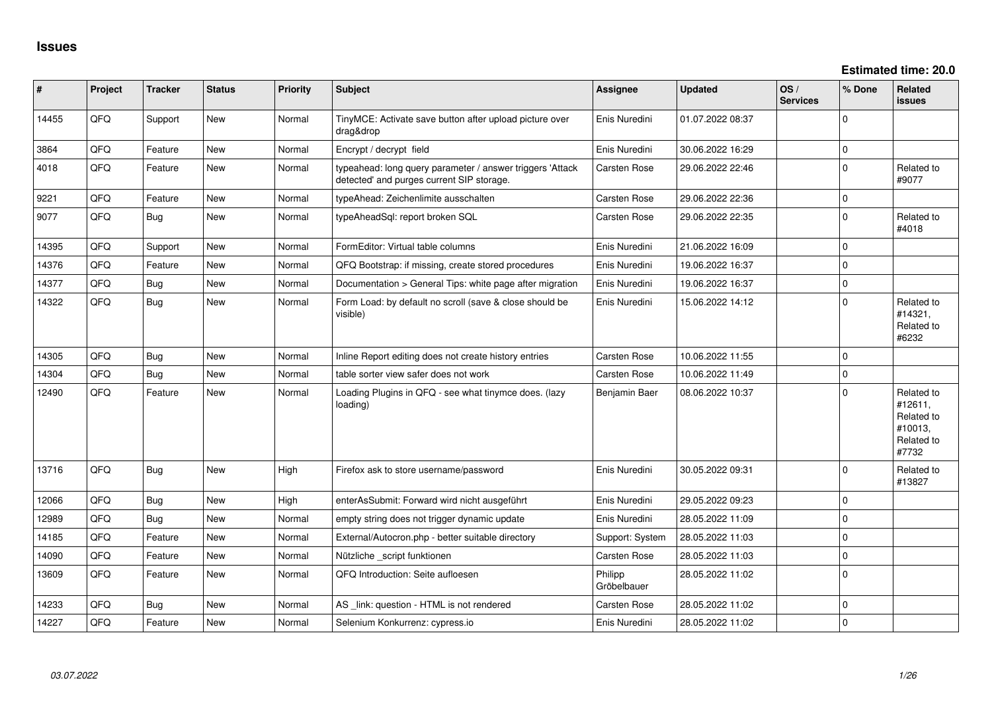| #     | Project | <b>Tracker</b> | <b>Status</b> | <b>Priority</b> | <b>Subject</b>                                                                                         | <b>Assignee</b>        | <b>Updated</b>   | OS/<br><b>Services</b> | % Done       | <b>Related</b><br><b>issues</b>                                       |
|-------|---------|----------------|---------------|-----------------|--------------------------------------------------------------------------------------------------------|------------------------|------------------|------------------------|--------------|-----------------------------------------------------------------------|
| 14455 | QFQ     | Support        | New           | Normal          | TinyMCE: Activate save button after upload picture over<br>drag&drop                                   | Enis Nuredini          | 01.07.2022 08:37 |                        | $\mathbf 0$  |                                                                       |
| 3864  | QFQ     | Feature        | <b>New</b>    | Normal          | Encrypt / decrypt field                                                                                | Enis Nuredini          | 30.06.2022 16:29 |                        | $\pmb{0}$    |                                                                       |
| 4018  | QFQ     | Feature        | <b>New</b>    | Normal          | typeahead: long query parameter / answer triggers 'Attack<br>detected' and purges current SIP storage. | Carsten Rose           | 29.06.2022 22:46 |                        | $\pmb{0}$    | Related to<br>#9077                                                   |
| 9221  | QFQ     | Feature        | <b>New</b>    | Normal          | typeAhead: Zeichenlimite ausschalten                                                                   | Carsten Rose           | 29.06.2022 22:36 |                        | 0            |                                                                       |
| 9077  | QFQ     | <b>Bug</b>     | <b>New</b>    | Normal          | typeAheadSql: report broken SQL                                                                        | Carsten Rose           | 29.06.2022 22:35 |                        | $\mathbf{0}$ | Related to<br>#4018                                                   |
| 14395 | QFQ     | Support        | <b>New</b>    | Normal          | FormEditor: Virtual table columns                                                                      | Enis Nuredini          | 21.06.2022 16:09 |                        | $\mathbf 0$  |                                                                       |
| 14376 | QFQ     | Feature        | <b>New</b>    | Normal          | QFQ Bootstrap: if missing, create stored procedures                                                    | Enis Nuredini          | 19.06.2022 16:37 |                        | 0            |                                                                       |
| 14377 | QFQ     | <b>Bug</b>     | <b>New</b>    | Normal          | Documentation > General Tips: white page after migration                                               | Enis Nuredini          | 19.06.2022 16:37 |                        | $\mathbf{0}$ |                                                                       |
| 14322 | QFQ     | <b>Bug</b>     | New           | Normal          | Form Load: by default no scroll (save & close should be<br>visible)                                    | Enis Nuredini          | 15.06.2022 14:12 |                        | $\mathbf{0}$ | Related to<br>#14321,<br>Related to<br>#6232                          |
| 14305 | QFQ     | Bug            | New           | Normal          | Inline Report editing does not create history entries                                                  | Carsten Rose           | 10.06.2022 11:55 |                        | $\mathbf 0$  |                                                                       |
| 14304 | QFQ     | <b>Bug</b>     | <b>New</b>    | Normal          | table sorter view safer does not work                                                                  | Carsten Rose           | 10.06.2022 11:49 |                        | $\pmb{0}$    |                                                                       |
| 12490 | QFQ     | Feature        | <b>New</b>    | Normal          | Loading Plugins in QFQ - see what tinymce does. (lazy<br>loading)                                      | Benjamin Baer          | 08.06.2022 10:37 |                        | $\mathbf 0$  | Related to<br>#12611,<br>Related to<br>#10013,<br>Related to<br>#7732 |
| 13716 | QFQ     | Bug            | <b>New</b>    | High            | Firefox ask to store username/password                                                                 | Enis Nuredini          | 30.05.2022 09:31 |                        | $\mathbf 0$  | Related to<br>#13827                                                  |
| 12066 | QFQ     | <b>Bug</b>     | New           | High            | enterAsSubmit: Forward wird nicht ausgeführt                                                           | Enis Nuredini          | 29.05.2022 09:23 |                        | $\mathbf{0}$ |                                                                       |
| 12989 | QFQ     | Bug            | <b>New</b>    | Normal          | empty string does not trigger dynamic update                                                           | Enis Nuredini          | 28.05.2022 11:09 |                        | $\pmb{0}$    |                                                                       |
| 14185 | QFQ     | Feature        | <b>New</b>    | Normal          | External/Autocron.php - better suitable directory                                                      | Support: System        | 28.05.2022 11:03 |                        | $\mathbf 0$  |                                                                       |
| 14090 | QFQ     | Feature        | <b>New</b>    | Normal          | Nützliche _script funktionen                                                                           | Carsten Rose           | 28.05.2022 11:03 |                        | $\pmb{0}$    |                                                                       |
| 13609 | QFQ     | Feature        | <b>New</b>    | Normal          | QFQ Introduction: Seite aufloesen                                                                      | Philipp<br>Gröbelbauer | 28.05.2022 11:02 |                        | $\mathbf 0$  |                                                                       |
| 14233 | QFQ     | Bug            | New           | Normal          | AS _link: question - HTML is not rendered                                                              | Carsten Rose           | 28.05.2022 11:02 |                        | $\pmb{0}$    |                                                                       |
| 14227 | QFQ     | Feature        | <b>New</b>    | Normal          | Selenium Konkurrenz: cypress.io                                                                        | Enis Nuredini          | 28.05.2022 11:02 |                        | $\pmb{0}$    |                                                                       |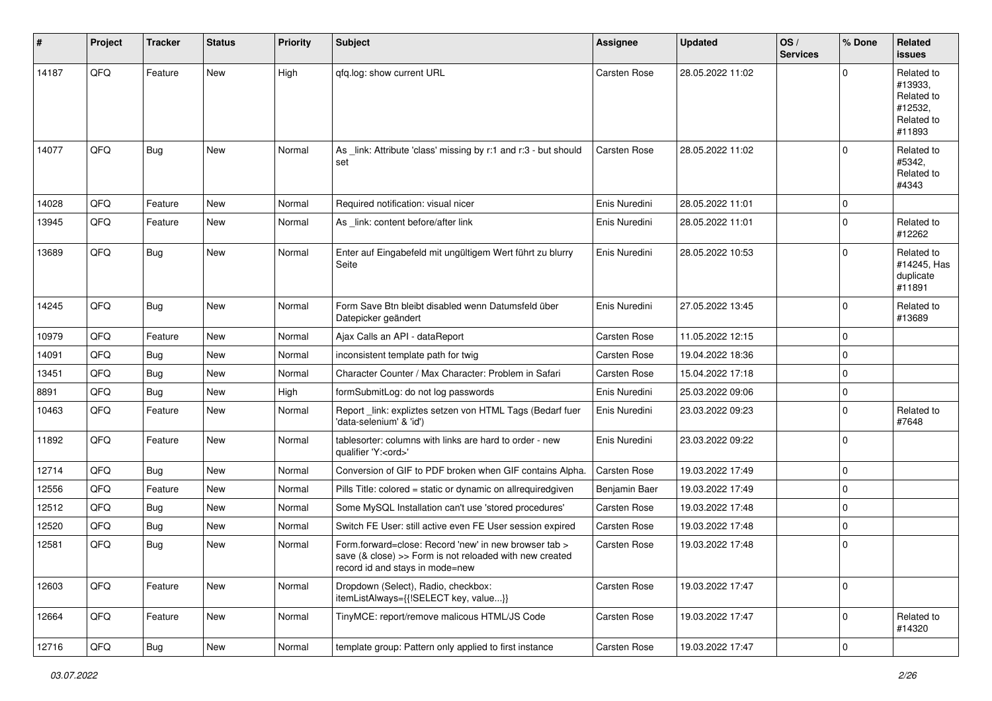| #     | Project | <b>Tracker</b> | <b>Status</b> | <b>Priority</b> | <b>Subject</b>                                                                                                                                      | <b>Assignee</b>     | <b>Updated</b>   | OS/<br><b>Services</b> | % Done         | Related<br><b>issues</b>                                               |
|-------|---------|----------------|---------------|-----------------|-----------------------------------------------------------------------------------------------------------------------------------------------------|---------------------|------------------|------------------------|----------------|------------------------------------------------------------------------|
| 14187 | QFQ     | Feature        | <b>New</b>    | High            | gfg.log: show current URL                                                                                                                           | Carsten Rose        | 28.05.2022 11:02 |                        | $\Omega$       | Related to<br>#13933,<br>Related to<br>#12532,<br>Related to<br>#11893 |
| 14077 | QFQ     | Bug            | New           | Normal          | As link: Attribute 'class' missing by r:1 and r:3 - but should<br>set                                                                               | <b>Carsten Rose</b> | 28.05.2022 11:02 |                        | $\mathbf 0$    | Related to<br>#5342.<br>Related to<br>#4343                            |
| 14028 | QFQ     | Feature        | <b>New</b>    | Normal          | Required notification: visual nicer                                                                                                                 | Enis Nuredini       | 28.05.2022 11:01 |                        | 0              |                                                                        |
| 13945 | QFQ     | Feature        | New           | Normal          | As _link: content before/after link                                                                                                                 | Enis Nuredini       | 28.05.2022 11:01 |                        | $\mathbf 0$    | Related to<br>#12262                                                   |
| 13689 | QFQ     | Bug            | New           | Normal          | Enter auf Eingabefeld mit ungültigem Wert führt zu blurry<br>Seite                                                                                  | Enis Nuredini       | 28.05.2022 10:53 |                        | $\mathbf 0$    | Related to<br>#14245, Has<br>duplicate<br>#11891                       |
| 14245 | QFQ     | Bug            | New           | Normal          | Form Save Btn bleibt disabled wenn Datumsfeld über<br>Datepicker geändert                                                                           | Enis Nuredini       | 27.05.2022 13:45 |                        | $\mathbf 0$    | Related to<br>#13689                                                   |
| 10979 | QFQ     | Feature        | New           | Normal          | Ajax Calls an API - dataReport                                                                                                                      | Carsten Rose        | 11.05.2022 12:15 |                        | $\mathbf 0$    |                                                                        |
| 14091 | QFQ     | Bug            | New           | Normal          | inconsistent template path for twig                                                                                                                 | Carsten Rose        | 19.04.2022 18:36 |                        | $\mathbf 0$    |                                                                        |
| 13451 | QFQ     | Bug            | New           | Normal          | Character Counter / Max Character: Problem in Safari                                                                                                | Carsten Rose        | 15.04.2022 17:18 |                        | 0              |                                                                        |
| 8891  | QFQ     | <b>Bug</b>     | New           | High            | formSubmitLog: do not log passwords                                                                                                                 | Enis Nuredini       | 25.03.2022 09:06 |                        | $\mathbf 0$    |                                                                        |
| 10463 | QFQ     | Feature        | New           | Normal          | Report_link: expliztes setzen von HTML Tags (Bedarf fuer<br>'data-selenium' & 'id')                                                                 | Enis Nuredini       | 23.03.2022 09:23 |                        | $\mathbf 0$    | Related to<br>#7648                                                    |
| 11892 | QFQ     | Feature        | <b>New</b>    | Normal          | tablesorter: columns with links are hard to order - new<br>qualifier 'Y: <ord>'</ord>                                                               | Enis Nuredini       | 23.03.2022 09:22 |                        | $\mathbf 0$    |                                                                        |
| 12714 | QFQ     | Bug            | New           | Normal          | Conversion of GIF to PDF broken when GIF contains Alpha.                                                                                            | <b>Carsten Rose</b> | 19.03.2022 17:49 |                        | $\mathbf 0$    |                                                                        |
| 12556 | QFQ     | Feature        | New           | Normal          | Pills Title: colored = static or dynamic on allrequiredgiven                                                                                        | Benjamin Baer       | 19.03.2022 17:49 |                        | $\mathbf 0$    |                                                                        |
| 12512 | QFQ     | Bug            | New           | Normal          | Some MySQL Installation can't use 'stored procedures'                                                                                               | Carsten Rose        | 19.03.2022 17:48 |                        | $\mathbf 0$    |                                                                        |
| 12520 | QFQ     | <b>Bug</b>     | New           | Normal          | Switch FE User: still active even FE User session expired                                                                                           | Carsten Rose        | 19.03.2022 17:48 |                        | 0              |                                                                        |
| 12581 | QFQ     | Bug            | New           | Normal          | Form.forward=close: Record 'new' in new browser tab ><br>save (& close) >> Form is not reloaded with new created<br>record id and stays in mode=new | <b>Carsten Rose</b> | 19.03.2022 17:48 |                        | 0              |                                                                        |
| 12603 | QFQ     | Feature        | New           | Normal          | Dropdown (Select), Radio, checkbox:<br>itemListAlways={{!SELECT key, value}}                                                                        | Carsten Rose        | 19.03.2022 17:47 |                        | $\mathbf 0$    |                                                                        |
| 12664 | QFQ     | Feature        | New           | Normal          | TinyMCE: report/remove malicous HTML/JS Code                                                                                                        | Carsten Rose        | 19.03.2022 17:47 |                        | $\overline{0}$ | Related to<br>#14320                                                   |
| 12716 | QFG     | Bug            | New           | Normal          | template group: Pattern only applied to first instance                                                                                              | Carsten Rose        | 19.03.2022 17:47 |                        | $\pmb{0}$      |                                                                        |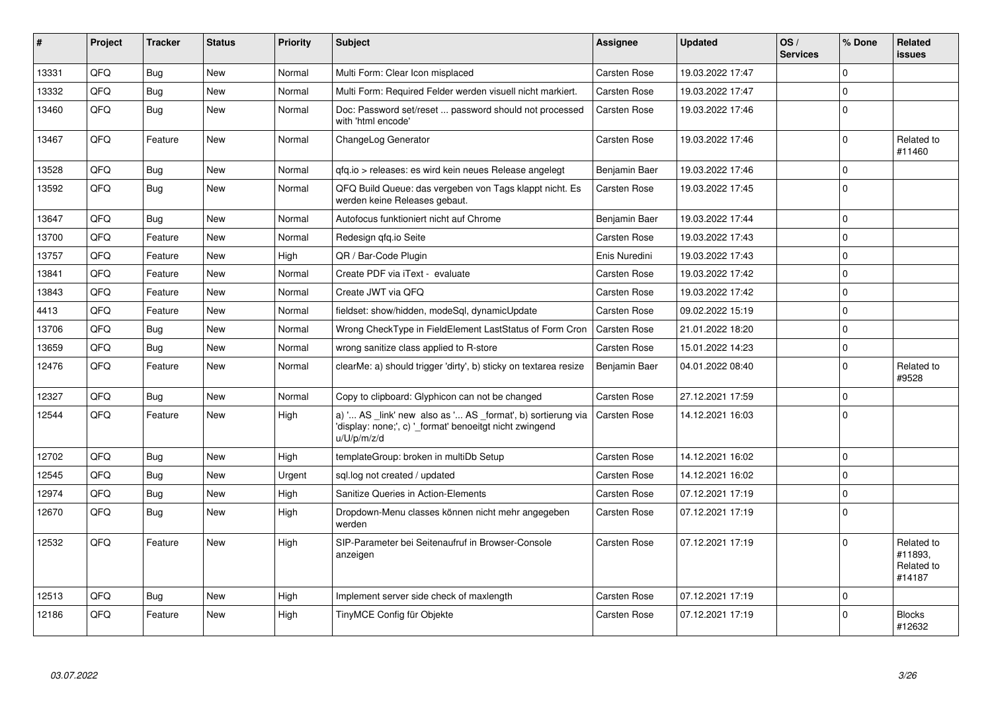| #     | Project | <b>Tracker</b> | <b>Status</b> | <b>Priority</b> | <b>Subject</b>                                                                                                                        | Assignee            | <b>Updated</b>   | OS/<br><b>Services</b> | % Done      | Related<br>issues                             |
|-------|---------|----------------|---------------|-----------------|---------------------------------------------------------------------------------------------------------------------------------------|---------------------|------------------|------------------------|-------------|-----------------------------------------------|
| 13331 | QFQ     | Bug            | <b>New</b>    | Normal          | Multi Form: Clear Icon misplaced                                                                                                      | <b>Carsten Rose</b> | 19.03.2022 17:47 |                        | $\Omega$    |                                               |
| 13332 | QFQ     | Bug            | New           | Normal          | Multi Form: Required Felder werden visuell nicht markiert.                                                                            | Carsten Rose        | 19.03.2022 17:47 |                        | $\pmb{0}$   |                                               |
| 13460 | QFQ     | Bug            | New           | Normal          | Doc: Password set/reset  password should not processed<br>with 'html encode'                                                          | Carsten Rose        | 19.03.2022 17:46 |                        | $\mathbf 0$ |                                               |
| 13467 | QFQ     | Feature        | New           | Normal          | ChangeLog Generator                                                                                                                   | Carsten Rose        | 19.03.2022 17:46 |                        | $\mathbf 0$ | Related to<br>#11460                          |
| 13528 | QFQ     | Bug            | <b>New</b>    | Normal          | qfq.io > releases: es wird kein neues Release angelegt                                                                                | Benjamin Baer       | 19.03.2022 17:46 |                        | $\pmb{0}$   |                                               |
| 13592 | QFQ     | Bug            | New           | Normal          | QFQ Build Queue: das vergeben von Tags klappt nicht. Es<br>werden keine Releases gebaut.                                              | Carsten Rose        | 19.03.2022 17:45 |                        | $\mathbf 0$ |                                               |
| 13647 | QFQ     | Bug            | <b>New</b>    | Normal          | Autofocus funktioniert nicht auf Chrome                                                                                               | Benjamin Baer       | 19.03.2022 17:44 |                        | $\mathbf 0$ |                                               |
| 13700 | QFQ     | Feature        | New           | Normal          | Redesign gfg.io Seite                                                                                                                 | Carsten Rose        | 19.03.2022 17:43 |                        | $\mathbf 0$ |                                               |
| 13757 | QFQ     | Feature        | <b>New</b>    | High            | QR / Bar-Code Plugin                                                                                                                  | Enis Nuredini       | 19.03.2022 17:43 |                        | $\mathbf 0$ |                                               |
| 13841 | QFQ     | Feature        | <b>New</b>    | Normal          | Create PDF via iText - evaluate                                                                                                       | Carsten Rose        | 19.03.2022 17:42 |                        | $\mathbf 0$ |                                               |
| 13843 | QFQ     | Feature        | <b>New</b>    | Normal          | Create JWT via QFQ                                                                                                                    | Carsten Rose        | 19.03.2022 17:42 |                        | $\mathbf 0$ |                                               |
| 4413  | QFQ     | Feature        | <b>New</b>    | Normal          | fieldset: show/hidden, modeSql, dynamicUpdate                                                                                         | <b>Carsten Rose</b> | 09.02.2022 15:19 |                        | $\mathbf 0$ |                                               |
| 13706 | QFQ     | Bug            | New           | Normal          | Wrong CheckType in FieldElement LastStatus of Form Cron                                                                               | <b>Carsten Rose</b> | 21.01.2022 18:20 |                        | $\pmb{0}$   |                                               |
| 13659 | QFQ     | Bug            | New           | Normal          | wrong sanitize class applied to R-store                                                                                               | Carsten Rose        | 15.01.2022 14:23 |                        | $\mathbf 0$ |                                               |
| 12476 | QFQ     | Feature        | New           | Normal          | clearMe: a) should trigger 'dirty', b) sticky on textarea resize                                                                      | Benjamin Baer       | 04.01.2022 08:40 |                        | $\pmb{0}$   | Related to<br>#9528                           |
| 12327 | QFQ     | Bug            | <b>New</b>    | Normal          | Copy to clipboard: Glyphicon can not be changed                                                                                       | <b>Carsten Rose</b> | 27.12.2021 17:59 |                        | $\mathbf 0$ |                                               |
| 12544 | QFQ     | Feature        | New           | High            | a) ' AS _link' new also as ' AS _format', b) sortierung via<br>'display: none;', c) ' format' benoeitgt nicht zwingend<br>u/U/p/m/z/d | Carsten Rose        | 14.12.2021 16:03 |                        | $\mathbf 0$ |                                               |
| 12702 | QFQ     | Bug            | <b>New</b>    | High            | templateGroup: broken in multiDb Setup                                                                                                | Carsten Rose        | 14.12.2021 16:02 |                        | $\pmb{0}$   |                                               |
| 12545 | QFQ     | Bug            | <b>New</b>    | Urgent          | sql.log not created / updated                                                                                                         | Carsten Rose        | 14.12.2021 16:02 |                        | $\mathbf 0$ |                                               |
| 12974 | QFQ     | Bug            | <b>New</b>    | High            | Sanitize Queries in Action-Elements                                                                                                   | Carsten Rose        | 07.12.2021 17:19 |                        | $\pmb{0}$   |                                               |
| 12670 | QFQ     | Bug            | New           | High            | Dropdown-Menu classes können nicht mehr angegeben<br>werden                                                                           | Carsten Rose        | 07.12.2021 17:19 |                        | $\mathbf 0$ |                                               |
| 12532 | QFQ     | Feature        | <b>New</b>    | High            | SIP-Parameter bei Seitenaufruf in Browser-Console<br>anzeigen                                                                         | Carsten Rose        | 07.12.2021 17:19 |                        | $\mathbf 0$ | Related to<br>#11893.<br>Related to<br>#14187 |
| 12513 | QFQ     | Bug            | <b>New</b>    | High            | Implement server side check of maxlength                                                                                              | Carsten Rose        | 07.12.2021 17:19 |                        | $\mathbf 0$ |                                               |
| 12186 | QFQ     | Feature        | New           | High            | TinyMCE Config für Objekte                                                                                                            | Carsten Rose        | 07.12.2021 17:19 |                        | $\pmb{0}$   | <b>Blocks</b><br>#12632                       |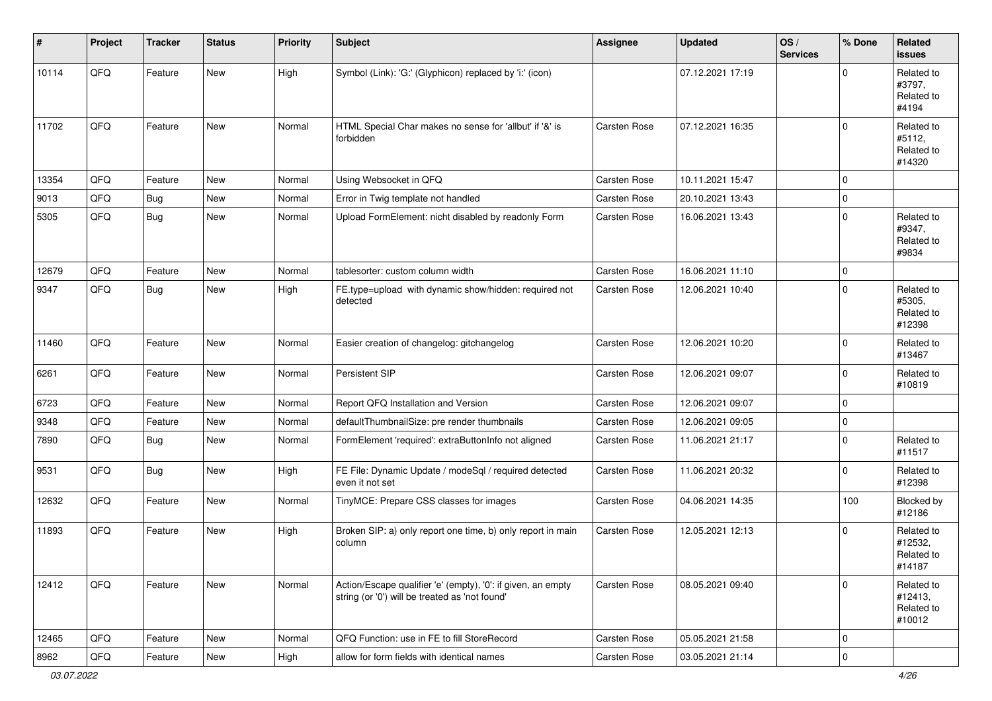| #     | Project | <b>Tracker</b> | <b>Status</b> | <b>Priority</b> | <b>Subject</b>                                                                                                 | <b>Assignee</b>     | <b>Updated</b>   | OS/<br><b>Services</b> | % Done       | Related<br><b>issues</b>                      |
|-------|---------|----------------|---------------|-----------------|----------------------------------------------------------------------------------------------------------------|---------------------|------------------|------------------------|--------------|-----------------------------------------------|
| 10114 | QFQ     | Feature        | New           | High            | Symbol (Link): 'G:' (Glyphicon) replaced by 'i:' (icon)                                                        |                     | 07.12.2021 17:19 |                        | $\Omega$     | Related to<br>#3797.<br>Related to<br>#4194   |
| 11702 | QFQ     | Feature        | New           | Normal          | HTML Special Char makes no sense for 'allbut' if '&' is<br>forbidden                                           | <b>Carsten Rose</b> | 07.12.2021 16:35 |                        | $\mathbf 0$  | Related to<br>#5112,<br>Related to<br>#14320  |
| 13354 | QFQ     | Feature        | <b>New</b>    | Normal          | Using Websocket in QFQ                                                                                         | <b>Carsten Rose</b> | 10.11.2021 15:47 |                        | $\mathbf 0$  |                                               |
| 9013  | QFQ     | Bug            | New           | Normal          | Error in Twig template not handled                                                                             | <b>Carsten Rose</b> | 20.10.2021 13:43 |                        | 0            |                                               |
| 5305  | QFQ     | <b>Bug</b>     | New           | Normal          | Upload FormElement: nicht disabled by readonly Form                                                            | <b>Carsten Rose</b> | 16.06.2021 13:43 |                        | $\mathbf{0}$ | Related to<br>#9347,<br>Related to<br>#9834   |
| 12679 | QFQ     | Feature        | <b>New</b>    | Normal          | tablesorter: custom column width                                                                               | <b>Carsten Rose</b> | 16.06.2021 11:10 |                        | $\mathbf 0$  |                                               |
| 9347  | QFQ     | <b>Bug</b>     | New           | High            | FE.type=upload with dynamic show/hidden: required not<br>detected                                              | <b>Carsten Rose</b> | 12.06.2021 10:40 |                        | $\mathbf 0$  | Related to<br>#5305,<br>Related to<br>#12398  |
| 11460 | QFQ     | Feature        | New           | Normal          | Easier creation of changelog: gitchangelog                                                                     | <b>Carsten Rose</b> | 12.06.2021 10:20 |                        | $\mathbf 0$  | Related to<br>#13467                          |
| 6261  | QFQ     | Feature        | New           | Normal          | Persistent SIP                                                                                                 | <b>Carsten Rose</b> | 12.06.2021 09:07 |                        | $\mathbf 0$  | Related to<br>#10819                          |
| 6723  | QFQ     | Feature        | New           | Normal          | Report QFQ Installation and Version                                                                            | Carsten Rose        | 12.06.2021 09:07 |                        | 0            |                                               |
| 9348  | QFQ     | Feature        | <b>New</b>    | Normal          | defaultThumbnailSize: pre render thumbnails                                                                    | Carsten Rose        | 12.06.2021 09:05 |                        | $\mathbf 0$  |                                               |
| 7890  | QFQ     | <b>Bug</b>     | <b>New</b>    | Normal          | FormElement 'required': extraButtonInfo not aligned                                                            | <b>Carsten Rose</b> | 11.06.2021 21:17 |                        | $\mathbf 0$  | Related to<br>#11517                          |
| 9531  | QFQ     | Bug            | <b>New</b>    | High            | FE File: Dynamic Update / modeSql / required detected<br>even it not set                                       | <b>Carsten Rose</b> | 11.06.2021 20:32 |                        | $\mathbf 0$  | Related to<br>#12398                          |
| 12632 | QFQ     | Feature        | New           | Normal          | TinyMCE: Prepare CSS classes for images                                                                        | Carsten Rose        | 04.06.2021 14:35 |                        | 100          | Blocked by<br>#12186                          |
| 11893 | QFQ     | Feature        | New           | High            | Broken SIP: a) only report one time, b) only report in main<br>column                                          | <b>Carsten Rose</b> | 12.05.2021 12:13 |                        | $\mathbf 0$  | Related to<br>#12532,<br>Related to<br>#14187 |
| 12412 | QFQ     | Feature        | New           | Normal          | Action/Escape qualifier 'e' (empty), '0': if given, an empty<br>string (or '0') will be treated as 'not found' | Carsten Rose        | 08.05.2021 09:40 |                        | $\mathbf 0$  | Related to<br>#12413,<br>Related to<br>#10012 |
| 12465 | QFQ     | Feature        | New           | Normal          | QFQ Function: use in FE to fill StoreRecord                                                                    | Carsten Rose        | 05.05.2021 21:58 |                        | $\mathbf 0$  |                                               |
| 8962  | QFQ     | Feature        | New           | High            | allow for form fields with identical names                                                                     | Carsten Rose        | 03.05.2021 21:14 |                        | $\pmb{0}$    |                                               |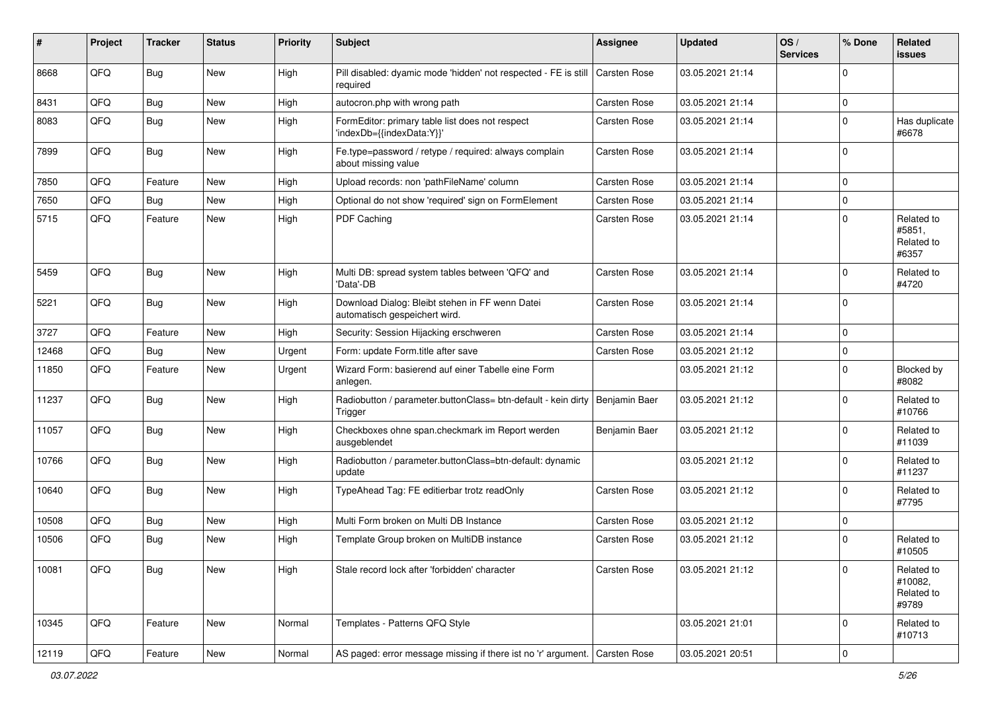| #     | Project | <b>Tracker</b> | <b>Status</b> | <b>Priority</b> | <b>Subject</b>                                                                   | <b>Assignee</b>     | <b>Updated</b>   | OS/<br><b>Services</b> | % Done       | Related<br><b>issues</b>                     |
|-------|---------|----------------|---------------|-----------------|----------------------------------------------------------------------------------|---------------------|------------------|------------------------|--------------|----------------------------------------------|
| 8668  | QFQ     | Bug            | New           | High            | Pill disabled: dyamic mode 'hidden' not respected - FE is still<br>required      | <b>Carsten Rose</b> | 03.05.2021 21:14 |                        | 0            |                                              |
| 8431  | QFQ     | Bug            | New           | High            | autocron.php with wrong path                                                     | Carsten Rose        | 03.05.2021 21:14 |                        | 0            |                                              |
| 8083  | QFQ     | Bug            | New           | High            | FormEditor: primary table list does not respect<br>'indexDb={{indexData:Y}}'     | Carsten Rose        | 03.05.2021 21:14 |                        | $\Omega$     | Has duplicate<br>#6678                       |
| 7899  | QFQ     | Bug            | New           | High            | Fe.type=password / retype / required: always complain<br>about missing value     | Carsten Rose        | 03.05.2021 21:14 |                        | $\Omega$     |                                              |
| 7850  | QFQ     | Feature        | <b>New</b>    | High            | Upload records: non 'pathFileName' column                                        | Carsten Rose        | 03.05.2021 21:14 |                        | $\Omega$     |                                              |
| 7650  | QFQ     | Bug            | <b>New</b>    | High            | Optional do not show 'required' sign on FormElement                              | Carsten Rose        | 03.05.2021 21:14 |                        | 0            |                                              |
| 5715  | QFQ     | Feature        | <b>New</b>    | High            | PDF Caching                                                                      | Carsten Rose        | 03.05.2021 21:14 |                        | $\Omega$     | Related to<br>#5851,<br>Related to<br>#6357  |
| 5459  | QFQ     | Bug            | New           | High            | Multi DB: spread system tables between 'QFQ' and<br>'Data'-DB                    | <b>Carsten Rose</b> | 03.05.2021 21:14 |                        | 0            | Related to<br>#4720                          |
| 5221  | QFQ     | Bug            | <b>New</b>    | High            | Download Dialog: Bleibt stehen in FF wenn Datei<br>automatisch gespeichert wird. | Carsten Rose        | 03.05.2021 21:14 |                        | $\Omega$     |                                              |
| 3727  | QFQ     | Feature        | <b>New</b>    | High            | Security: Session Hijacking erschweren                                           | <b>Carsten Rose</b> | 03.05.2021 21:14 |                        | 0            |                                              |
| 12468 | QFQ     | <b>Bug</b>     | New           | Urgent          | Form: update Form.title after save                                               | <b>Carsten Rose</b> | 03.05.2021 21:12 |                        | 0            |                                              |
| 11850 | QFQ     | Feature        | New           | Urgent          | Wizard Form: basierend auf einer Tabelle eine Form<br>anlegen.                   |                     | 03.05.2021 21:12 |                        | $\Omega$     | Blocked by<br>#8082                          |
| 11237 | QFQ     | Bug            | New           | High            | Radiobutton / parameter.buttonClass= btn-default - kein dirty<br>Trigger         | Benjamin Baer       | 03.05.2021 21:12 |                        | $\Omega$     | Related to<br>#10766                         |
| 11057 | QFQ     | Bug            | <b>New</b>    | High            | Checkboxes ohne span.checkmark im Report werden<br>ausgeblendet                  | Benjamin Baer       | 03.05.2021 21:12 |                        | 0            | Related to<br>#11039                         |
| 10766 | QFQ     | Bug            | New           | High            | Radiobutton / parameter.buttonClass=btn-default: dynamic<br>update               |                     | 03.05.2021 21:12 |                        | $\Omega$     | Related to<br>#11237                         |
| 10640 | QFQ     | Bug            | New           | High            | TypeAhead Tag: FE editierbar trotz readOnly                                      | Carsten Rose        | 03.05.2021 21:12 |                        | 0            | Related to<br>#7795                          |
| 10508 | QFQ     | Bug            | New           | High            | Multi Form broken on Multi DB Instance                                           | Carsten Rose        | 03.05.2021 21:12 |                        | 0            |                                              |
| 10506 | QFQ     | Bug            | <b>New</b>    | High            | Template Group broken on MultiDB instance                                        | Carsten Rose        | 03.05.2021 21:12 |                        | $\Omega$     | Related to<br>#10505                         |
| 10081 | QFQ     | <b>Bug</b>     | New           | High            | Stale record lock after 'forbidden' character                                    | Carsten Rose        | 03.05.2021 21:12 |                        | $\mathbf 0$  | Related to<br>#10082,<br>Related to<br>#9789 |
| 10345 | QFQ     | Feature        | New           | Normal          | Templates - Patterns QFQ Style                                                   |                     | 03.05.2021 21:01 |                        | $\mathbf{0}$ | Related to<br>#10713                         |
| 12119 | QFG     | Feature        | New           | Normal          | AS paged: error message missing if there ist no 'r' argument. Carsten Rose       |                     | 03.05.2021 20:51 |                        | $\mathbf 0$  |                                              |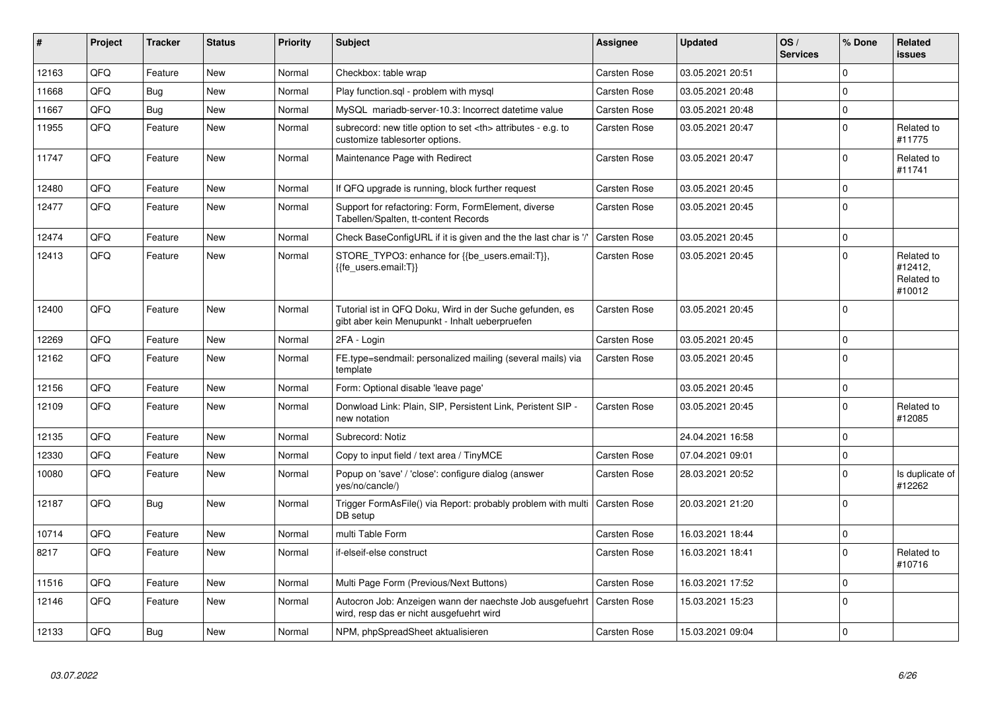| #     | Project | <b>Tracker</b> | <b>Status</b> | <b>Priority</b> | <b>Subject</b>                                                                                             | <b>Assignee</b>                                        | <b>Updated</b>      | OS/<br><b>Services</b> | % Done       | <b>Related</b><br><b>issues</b>               |                      |
|-------|---------|----------------|---------------|-----------------|------------------------------------------------------------------------------------------------------------|--------------------------------------------------------|---------------------|------------------------|--------------|-----------------------------------------------|----------------------|
| 12163 | QFQ     | Feature        | <b>New</b>    | Normal          | Checkbox: table wrap                                                                                       | <b>Carsten Rose</b>                                    | 03.05.2021 20:51    |                        | $\Omega$     |                                               |                      |
| 11668 | QFQ     | Bug            | <b>New</b>    | Normal          | Play function.sql - problem with mysql                                                                     | <b>Carsten Rose</b>                                    | 03.05.2021 20:48    |                        | $\Omega$     |                                               |                      |
| 11667 | QFQ     | Bug            | <b>New</b>    | Normal          | MySQL mariadb-server-10.3: Incorrect datetime value                                                        | Carsten Rose                                           | 03.05.2021 20:48    |                        | $\mathbf 0$  |                                               |                      |
| 11955 | QFQ     | Feature        | <b>New</b>    | Normal          | subrecord: new title option to set <th> attributes - e.g. to<br/>customize tablesorter options.</th>       | attributes - e.g. to<br>customize tablesorter options. | <b>Carsten Rose</b> | 03.05.2021 20:47       |              | $\mathbf{0}$                                  | Related to<br>#11775 |
| 11747 | QFQ     | Feature        | New           | Normal          | Maintenance Page with Redirect                                                                             | <b>Carsten Rose</b>                                    | 03.05.2021 20:47    |                        | $\mathbf{0}$ | Related to<br>#11741                          |                      |
| 12480 | QFQ     | Feature        | New           | Normal          | If QFQ upgrade is running, block further request                                                           | Carsten Rose                                           | 03.05.2021 20:45    |                        | $\mathbf{0}$ |                                               |                      |
| 12477 | QFQ     | Feature        | <b>New</b>    | Normal          | Support for refactoring: Form, FormElement, diverse<br>Tabellen/Spalten, tt-content Records                | <b>Carsten Rose</b>                                    | 03.05.2021 20:45    |                        | $\Omega$     |                                               |                      |
| 12474 | QFQ     | Feature        | <b>New</b>    | Normal          | Check BaseConfigURL if it is given and the the last char is '/'                                            | <b>Carsten Rose</b>                                    | 03.05.2021 20:45    |                        | $\mathbf{0}$ |                                               |                      |
| 12413 | QFQ     | Feature        | <b>New</b>    | Normal          | STORE_TYPO3: enhance for {{be_users.email:T}},<br>{{fe users.email:T}}                                     | Carsten Rose                                           | 03.05.2021 20:45    |                        | 0            | Related to<br>#12412.<br>Related to<br>#10012 |                      |
| 12400 | QFQ     | Feature        | <b>New</b>    | Normal          | Tutorial ist in QFQ Doku, Wird in der Suche gefunden, es<br>gibt aber kein Menupunkt - Inhalt ueberpruefen | Carsten Rose                                           | 03.05.2021 20:45    |                        | $\Omega$     |                                               |                      |
| 12269 | QFQ     | Feature        | <b>New</b>    | Normal          | 2FA - Login                                                                                                | Carsten Rose                                           | 03.05.2021 20:45    |                        | $\mathbf 0$  |                                               |                      |
| 12162 | QFQ     | Feature        | New           | Normal          | FE.type=sendmail: personalized mailing (several mails) via<br>template                                     | <b>Carsten Rose</b>                                    | 03.05.2021 20:45    |                        | $\mathbf{0}$ |                                               |                      |
| 12156 | QFQ     | Feature        | <b>New</b>    | Normal          | Form: Optional disable 'leave page'                                                                        |                                                        | 03.05.2021 20:45    |                        | $\mathbf 0$  |                                               |                      |
| 12109 | QFQ     | Feature        | <b>New</b>    | Normal          | Donwload Link: Plain, SIP, Persistent Link, Peristent SIP -<br>new notation                                | Carsten Rose                                           | 03.05.2021 20:45    |                        | $\mathbf 0$  | Related to<br>#12085                          |                      |
| 12135 | QFQ     | Feature        | <b>New</b>    | Normal          | Subrecord: Notiz                                                                                           |                                                        | 24.04.2021 16:58    |                        | $\mathbf 0$  |                                               |                      |
| 12330 | QFQ     | Feature        | New           | Normal          | Copy to input field / text area / TinyMCE                                                                  | <b>Carsten Rose</b>                                    | 07.04.2021 09:01    |                        | $\mathbf{0}$ |                                               |                      |
| 10080 | QFQ     | Feature        | <b>New</b>    | Normal          | Popup on 'save' / 'close': configure dialog (answer<br>yes/no/cancle/)                                     | <b>Carsten Rose</b>                                    | 28.03.2021 20:52    |                        | $\mathbf 0$  | Is duplicate of<br>#12262                     |                      |
| 12187 | QFQ     | <b>Bug</b>     | <b>New</b>    | Normal          | Trigger FormAsFile() via Report: probably problem with multi<br>DB setup                                   | <b>Carsten Rose</b>                                    | 20.03.2021 21:20    |                        | $\mathbf 0$  |                                               |                      |
| 10714 | QFQ     | Feature        | New           | Normal          | multi Table Form                                                                                           | <b>Carsten Rose</b>                                    | 16.03.2021 18:44    |                        | $\mathbf 0$  |                                               |                      |
| 8217  | QFQ     | Feature        | New           | Normal          | if-elseif-else construct                                                                                   | Carsten Rose                                           | 16.03.2021 18:41    |                        | $\Omega$     | Related to<br>#10716                          |                      |
| 11516 | QFQ     | Feature        | <b>New</b>    | Normal          | Multi Page Form (Previous/Next Buttons)                                                                    | <b>Carsten Rose</b>                                    | 16.03.2021 17:52    |                        | $\mathbf 0$  |                                               |                      |
| 12146 | QFQ     | Feature        | New           | Normal          | Autocron Job: Anzeigen wann der naechste Job ausgefuehrt<br>wird, resp das er nicht ausgefuehrt wird       | <b>Carsten Rose</b>                                    | 15.03.2021 15:23    |                        | $\mathbf{0}$ |                                               |                      |
| 12133 | QFQ     | Bug            | New           | Normal          | NPM, phpSpreadSheet aktualisieren                                                                          | Carsten Rose                                           | 15.03.2021 09:04    |                        | $\pmb{0}$    |                                               |                      |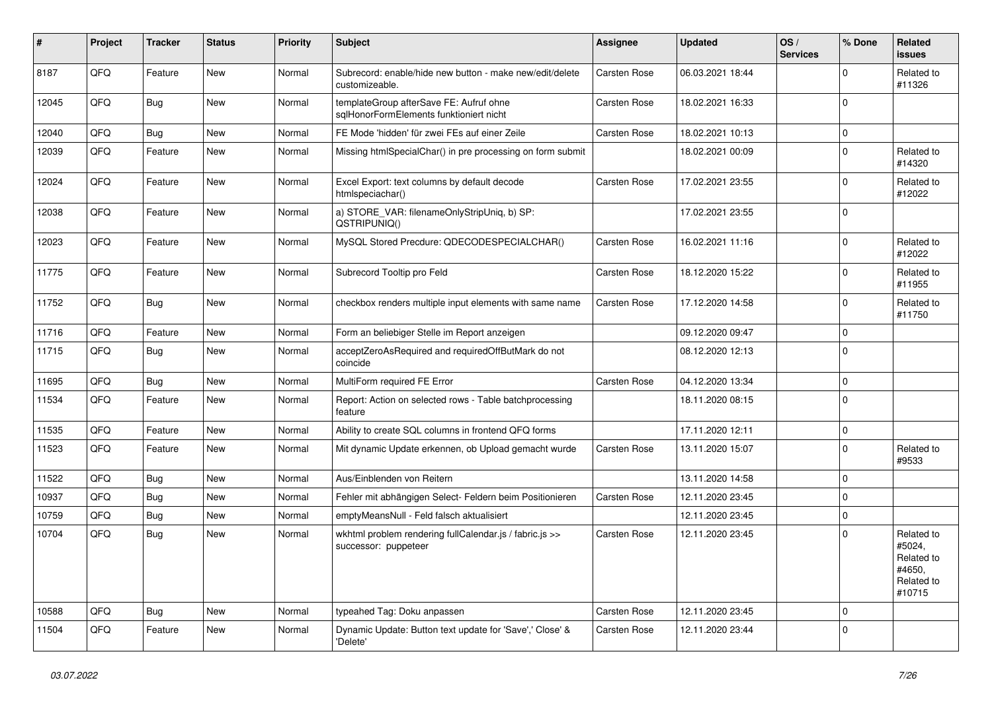| #     | Project | <b>Tracker</b> | <b>Status</b> | <b>Priority</b> | <b>Subject</b>                                                                     | <b>Assignee</b>     | <b>Updated</b>   | OS/<br><b>Services</b> | % Done       | Related<br><b>issues</b>                                             |
|-------|---------|----------------|---------------|-----------------|------------------------------------------------------------------------------------|---------------------|------------------|------------------------|--------------|----------------------------------------------------------------------|
| 8187  | QFQ     | Feature        | New           | Normal          | Subrecord: enable/hide new button - make new/edit/delete<br>customizeable.         | <b>Carsten Rose</b> | 06.03.2021 18:44 |                        | 0            | Related to<br>#11326                                                 |
| 12045 | QFQ     | <b>Bug</b>     | New           | Normal          | templateGroup afterSave FE: Aufruf ohne<br>sglHonorFormElements funktioniert nicht | Carsten Rose        | 18.02.2021 16:33 |                        | 0            |                                                                      |
| 12040 | QFQ     | Bug            | New           | Normal          | FE Mode 'hidden' für zwei FEs auf einer Zeile                                      | Carsten Rose        | 18.02.2021 10:13 |                        | 0            |                                                                      |
| 12039 | QFQ     | Feature        | <b>New</b>    | Normal          | Missing htmlSpecialChar() in pre processing on form submit                         |                     | 18.02.2021 00:09 |                        | $\Omega$     | Related to<br>#14320                                                 |
| 12024 | QFQ     | Feature        | New           | Normal          | Excel Export: text columns by default decode<br>htmlspeciachar()                   | Carsten Rose        | 17.02.2021 23:55 |                        | 0            | Related to<br>#12022                                                 |
| 12038 | QFQ     | Feature        | <b>New</b>    | Normal          | a) STORE_VAR: filenameOnlyStripUniq, b) SP:<br>QSTRIPUNIQ()                        |                     | 17.02.2021 23:55 |                        | 0            |                                                                      |
| 12023 | QFQ     | Feature        | New           | Normal          | MySQL Stored Precdure: QDECODESPECIALCHAR()                                        | <b>Carsten Rose</b> | 16.02.2021 11:16 |                        | 0            | Related to<br>#12022                                                 |
| 11775 | QFQ     | Feature        | New           | Normal          | Subrecord Tooltip pro Feld                                                         | Carsten Rose        | 18.12.2020 15:22 |                        | 0            | Related to<br>#11955                                                 |
| 11752 | QFQ     | Bug            | New           | Normal          | checkbox renders multiple input elements with same name                            | Carsten Rose        | 17.12.2020 14:58 |                        | 0            | Related to<br>#11750                                                 |
| 11716 | QFQ     | Feature        | <b>New</b>    | Normal          | Form an beliebiger Stelle im Report anzeigen                                       |                     | 09.12.2020 09:47 |                        | 0            |                                                                      |
| 11715 | QFQ     | Bug            | New           | Normal          | acceptZeroAsRequired and requiredOffButMark do not<br>coincide                     |                     | 08.12.2020 12:13 |                        | 0            |                                                                      |
| 11695 | QFQ     | Bug            | <b>New</b>    | Normal          | MultiForm required FE Error                                                        | <b>Carsten Rose</b> | 04.12.2020 13:34 |                        | 0            |                                                                      |
| 11534 | QFQ     | Feature        | New           | Normal          | Report: Action on selected rows - Table batchprocessing<br>feature                 |                     | 18.11.2020 08:15 |                        | $\Omega$     |                                                                      |
| 11535 | QFQ     | Feature        | New           | Normal          | Ability to create SQL columns in frontend QFQ forms                                |                     | 17.11.2020 12:11 |                        | $\mathbf 0$  |                                                                      |
| 11523 | QFQ     | Feature        | New           | Normal          | Mit dynamic Update erkennen, ob Upload gemacht wurde                               | <b>Carsten Rose</b> | 13.11.2020 15:07 |                        | $\mathbf 0$  | Related to<br>#9533                                                  |
| 11522 | QFQ     | Bug            | New           | Normal          | Aus/Einblenden von Reitern                                                         |                     | 13.11.2020 14:58 |                        | 0            |                                                                      |
| 10937 | QFQ     | Bug            | New           | Normal          | Fehler mit abhängigen Select- Feldern beim Positionieren                           | Carsten Rose        | 12.11.2020 23:45 |                        | 0            |                                                                      |
| 10759 | QFQ     | <b>Bug</b>     | <b>New</b>    | Normal          | emptyMeansNull - Feld falsch aktualisiert                                          |                     | 12.11.2020 23:45 |                        | 0            |                                                                      |
| 10704 | QFQ     | <b>Bug</b>     | New           | Normal          | wkhtml problem rendering fullCalendar.js / fabric.js >><br>successor: puppeteer    | Carsten Rose        | 12.11.2020 23:45 |                        | 0            | Related to<br>#5024,<br>Related to<br>#4650,<br>Related to<br>#10715 |
| 10588 | QFQ     | <b>Bug</b>     | <b>New</b>    | Normal          | typeahed Tag: Doku anpassen                                                        | <b>Carsten Rose</b> | 12.11.2020 23:45 |                        | $\mathbf 0$  |                                                                      |
| 11504 | QFQ     | Feature        | New           | Normal          | Dynamic Update: Button text update for 'Save',' Close' &<br>'Delete'               | Carsten Rose        | 12.11.2020 23:44 |                        | $\mathbf{0}$ |                                                                      |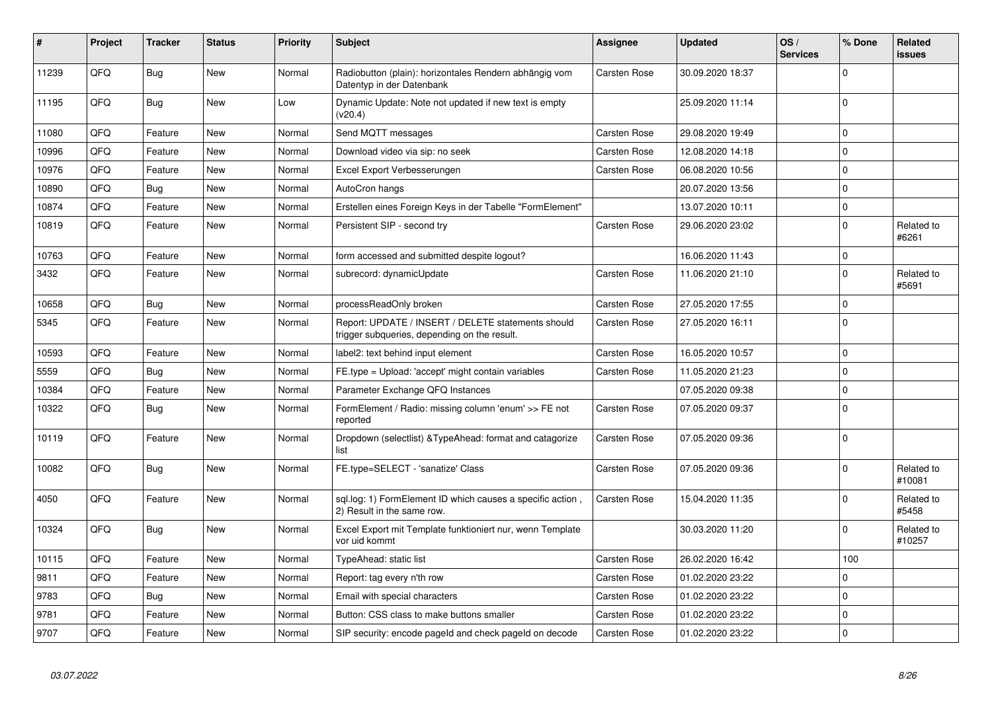| #     | Project | <b>Tracker</b> | <b>Status</b> | <b>Priority</b> | Subject                                                                                            | <b>Assignee</b>     | <b>Updated</b>   | OS/<br><b>Services</b> | % Done       | <b>Related</b><br><b>issues</b> |
|-------|---------|----------------|---------------|-----------------|----------------------------------------------------------------------------------------------------|---------------------|------------------|------------------------|--------------|---------------------------------|
| 11239 | QFQ     | Bug            | New           | Normal          | Radiobutton (plain): horizontales Rendern abhängig vom<br>Datentyp in der Datenbank                | <b>Carsten Rose</b> | 30.09.2020 18:37 |                        | $\Omega$     |                                 |
| 11195 | QFQ     | <b>Bug</b>     | <b>New</b>    | Low             | Dynamic Update: Note not updated if new text is empty<br>(v20.4)                                   |                     | 25.09.2020 11:14 |                        | $\Omega$     |                                 |
| 11080 | QFQ     | Feature        | <b>New</b>    | Normal          | Send MQTT messages                                                                                 | Carsten Rose        | 29.08.2020 19:49 |                        | $\mathbf 0$  |                                 |
| 10996 | QFQ     | Feature        | <b>New</b>    | Normal          | Download video via sip: no seek                                                                    | Carsten Rose        | 12.08.2020 14:18 |                        | $\mathbf 0$  |                                 |
| 10976 | QFQ     | Feature        | <b>New</b>    | Normal          | Excel Export Verbesserungen                                                                        | Carsten Rose        | 06.08.2020 10:56 |                        | $\Omega$     |                                 |
| 10890 | QFQ     | Bug            | <b>New</b>    | Normal          | AutoCron hangs                                                                                     |                     | 20.07.2020 13:56 |                        | $\mathbf 0$  |                                 |
| 10874 | QFQ     | Feature        | New           | Normal          | Erstellen eines Foreign Keys in der Tabelle "FormElement"                                          |                     | 13.07.2020 10:11 |                        | $\mathbf 0$  |                                 |
| 10819 | QFQ     | Feature        | <b>New</b>    | Normal          | Persistent SIP - second try                                                                        | Carsten Rose        | 29.06.2020 23:02 |                        | $\mathbf 0$  | Related to<br>#6261             |
| 10763 | QFQ     | Feature        | <b>New</b>    | Normal          | form accessed and submitted despite logout?                                                        |                     | 16.06.2020 11:43 |                        | $\mathbf 0$  |                                 |
| 3432  | QFQ     | Feature        | <b>New</b>    | Normal          | subrecord: dynamicUpdate                                                                           | Carsten Rose        | 11.06.2020 21:10 |                        | $\mathbf 0$  | Related to<br>#5691             |
| 10658 | QFQ     | <b>Bug</b>     | New           | Normal          | processReadOnly broken                                                                             | <b>Carsten Rose</b> | 27.05.2020 17:55 |                        | $\mathbf 0$  |                                 |
| 5345  | QFQ     | Feature        | <b>New</b>    | Normal          | Report: UPDATE / INSERT / DELETE statements should<br>trigger subqueries, depending on the result. | Carsten Rose        | 27.05.2020 16:11 |                        | $\Omega$     |                                 |
| 10593 | QFQ     | Feature        | <b>New</b>    | Normal          | label2: text behind input element                                                                  | Carsten Rose        | 16.05.2020 10:57 |                        | $\mathbf 0$  |                                 |
| 5559  | QFQ     | Bug            | <b>New</b>    | Normal          | FE.type = Upload: 'accept' might contain variables                                                 | Carsten Rose        | 11.05.2020 21:23 |                        | $\mathbf 0$  |                                 |
| 10384 | QFQ     | Feature        | <b>New</b>    | Normal          | Parameter Exchange QFQ Instances                                                                   |                     | 07.05.2020 09:38 |                        | $\pmb{0}$    |                                 |
| 10322 | QFQ     | Bug            | <b>New</b>    | Normal          | FormElement / Radio: missing column 'enum' >> FE not<br>reported                                   | Carsten Rose        | 07.05.2020 09:37 |                        | $\mathbf{0}$ |                                 |
| 10119 | QFQ     | Feature        | <b>New</b>    | Normal          | Dropdown (selectlist) & Type Ahead: format and catagorize<br>list                                  | Carsten Rose        | 07.05.2020 09:36 |                        | $\mathbf 0$  |                                 |
| 10082 | QFQ     | Bug            | <b>New</b>    | Normal          | FE.type=SELECT - 'sanatize' Class                                                                  | Carsten Rose        | 07.05.2020 09:36 |                        | $\mathbf 0$  | Related to<br>#10081            |
| 4050  | QFQ     | Feature        | <b>New</b>    | Normal          | sql.log: 1) FormElement ID which causes a specific action,<br>2) Result in the same row.           | Carsten Rose        | 15.04.2020 11:35 |                        | $\Omega$     | Related to<br>#5458             |
| 10324 | QFQ     | Bug            | New           | Normal          | Excel Export mit Template funktioniert nur, wenn Template<br>vor uid kommt                         |                     | 30.03.2020 11:20 |                        | $\Omega$     | Related to<br>#10257            |
| 10115 | QFQ     | Feature        | <b>New</b>    | Normal          | TypeAhead: static list                                                                             | Carsten Rose        | 26.02.2020 16:42 |                        | 100          |                                 |
| 9811  | QFQ     | Feature        | <b>New</b>    | Normal          | Report: tag every n'th row                                                                         | Carsten Rose        | 01.02.2020 23:22 |                        | $\pmb{0}$    |                                 |
| 9783  | QFQ     | Bug            | <b>New</b>    | Normal          | Email with special characters                                                                      | <b>Carsten Rose</b> | 01.02.2020 23:22 |                        | $\mathbf 0$  |                                 |
| 9781  | QFQ     | Feature        | <b>New</b>    | Normal          | Button: CSS class to make buttons smaller                                                          | <b>Carsten Rose</b> | 01.02.2020 23:22 |                        | $\mathbf 0$  |                                 |
| 9707  | QFQ     | Feature        | New           | Normal          | SIP security: encode pageld and check pageld on decode                                             | <b>Carsten Rose</b> | 01.02.2020 23:22 |                        | $\mathbf 0$  |                                 |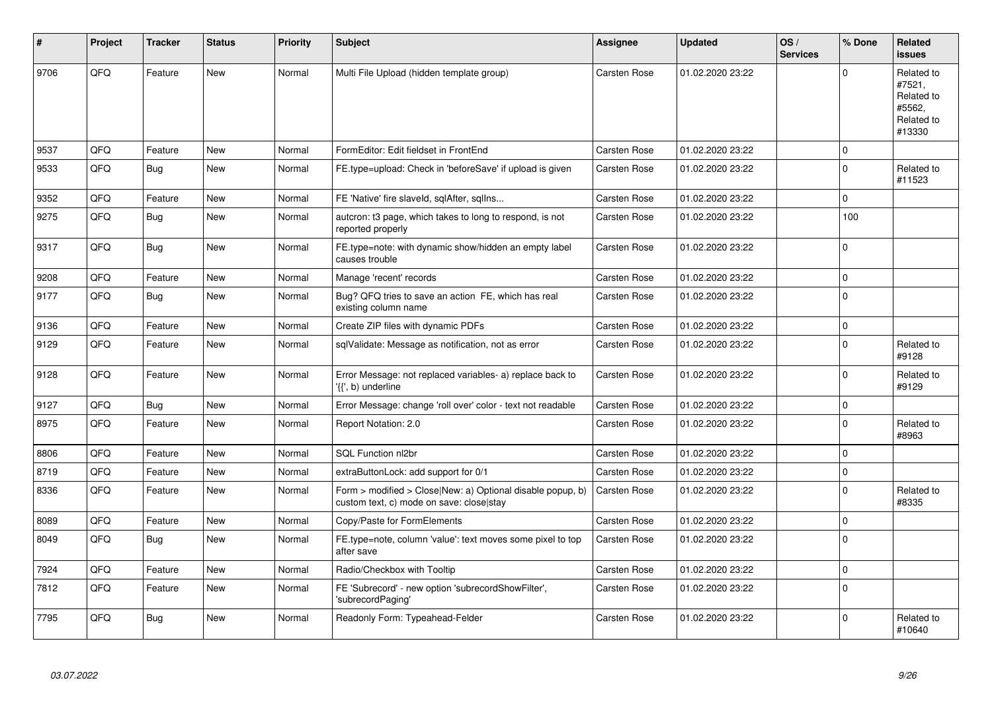| $\sharp$ | Project | <b>Tracker</b> | <b>Status</b> | <b>Priority</b> | <b>Subject</b>                                                                                         | Assignee            | <b>Updated</b>   | OS/<br><b>Services</b> | % Done       | Related<br><b>issues</b>                                             |
|----------|---------|----------------|---------------|-----------------|--------------------------------------------------------------------------------------------------------|---------------------|------------------|------------------------|--------------|----------------------------------------------------------------------|
| 9706     | QFQ     | Feature        | <b>New</b>    | Normal          | Multi File Upload (hidden template group)                                                              | <b>Carsten Rose</b> | 01.02.2020 23:22 |                        | $\Omega$     | Related to<br>#7521,<br>Related to<br>#5562,<br>Related to<br>#13330 |
| 9537     | QFQ     | Feature        | <b>New</b>    | Normal          | FormEditor: Edit fieldset in FrontEnd                                                                  | <b>Carsten Rose</b> | 01.02.2020 23:22 |                        | 0            |                                                                      |
| 9533     | QFQ     | Bug            | <b>New</b>    | Normal          | FE.type=upload: Check in 'beforeSave' if upload is given                                               | Carsten Rose        | 01.02.2020 23:22 |                        | $\mathbf{0}$ | Related to<br>#11523                                                 |
| 9352     | QFQ     | Feature        | New           | Normal          | FE 'Native' fire slaveld, sqlAfter, sqlIns                                                             | Carsten Rose        | 01.02.2020 23:22 |                        | 0            |                                                                      |
| 9275     | QFQ     | Bug            | <b>New</b>    | Normal          | autcron: t3 page, which takes to long to respond, is not<br>reported properly                          | Carsten Rose        | 01.02.2020 23:22 |                        | 100          |                                                                      |
| 9317     | QFQ     | Bug            | <b>New</b>    | Normal          | FE.type=note: with dynamic show/hidden an empty label<br>causes trouble                                | Carsten Rose        | 01.02.2020 23:22 |                        | 0            |                                                                      |
| 9208     | QFQ     | Feature        | <b>New</b>    | Normal          | Manage 'recent' records                                                                                | Carsten Rose        | 01.02.2020 23:22 |                        | 0            |                                                                      |
| 9177     | QFQ     | Bug            | <b>New</b>    | Normal          | Bug? QFQ tries to save an action FE, which has real<br>existing column name                            | Carsten Rose        | 01.02.2020 23:22 |                        | $\Omega$     |                                                                      |
| 9136     | QFQ     | Feature        | <b>New</b>    | Normal          | Create ZIP files with dynamic PDFs                                                                     | Carsten Rose        | 01.02.2020 23:22 |                        | 0            |                                                                      |
| 9129     | QFQ     | Feature        | New           | Normal          | sqlValidate: Message as notification, not as error                                                     | Carsten Rose        | 01.02.2020 23:22 |                        | $\Omega$     | Related to<br>#9128                                                  |
| 9128     | QFQ     | Feature        | <b>New</b>    | Normal          | Error Message: not replaced variables- a) replace back to<br>'{{', b) underline                        | Carsten Rose        | 01.02.2020 23:22 |                        | $\Omega$     | Related to<br>#9129                                                  |
| 9127     | QFQ     | <b>Bug</b>     | <b>New</b>    | Normal          | Error Message: change 'roll over' color - text not readable                                            | <b>Carsten Rose</b> | 01.02.2020 23:22 |                        | $\mathbf{0}$ |                                                                      |
| 8975     | QFQ     | Feature        | <b>New</b>    | Normal          | Report Notation: 2.0                                                                                   | Carsten Rose        | 01.02.2020 23:22 |                        | $\Omega$     | Related to<br>#8963                                                  |
| 8806     | QFQ     | Feature        | <b>New</b>    | Normal          | SQL Function nl2br                                                                                     | Carsten Rose        | 01.02.2020 23:22 |                        | $\mathbf{0}$ |                                                                      |
| 8719     | QFQ     | Feature        | <b>New</b>    | Normal          | extraButtonLock: add support for 0/1                                                                   | Carsten Rose        | 01.02.2020 23:22 |                        | $\pmb{0}$    |                                                                      |
| 8336     | QFQ     | Feature        | New           | Normal          | Form > modified > Close New: a) Optional disable popup, b)<br>custom text, c) mode on save: close stay | Carsten Rose        | 01.02.2020 23:22 |                        | $\Omega$     | Related to<br>#8335                                                  |
| 8089     | QFQ     | Feature        | <b>New</b>    | Normal          | Copy/Paste for FormElements                                                                            | Carsten Rose        | 01.02.2020 23:22 |                        | $\Omega$     |                                                                      |
| 8049     | QFQ     | Bug            | New           | Normal          | FE.type=note, column 'value': text moves some pixel to top<br>after save                               | <b>Carsten Rose</b> | 01.02.2020 23:22 |                        | $\Omega$     |                                                                      |
| 7924     | QFQ     | Feature        | <b>New</b>    | Normal          | Radio/Checkbox with Tooltip                                                                            | Carsten Rose        | 01.02.2020 23:22 |                        | 0            |                                                                      |
| 7812     | QFQ     | Feature        | <b>New</b>    | Normal          | FE 'Subrecord' - new option 'subrecordShowFilter',<br>'subrecordPaging'                                | Carsten Rose        | 01.02.2020 23:22 |                        | $\Omega$     |                                                                      |
| 7795     | QFQ     | Bug            | <b>New</b>    | Normal          | Readonly Form: Typeahead-Felder                                                                        | Carsten Rose        | 01.02.2020 23:22 |                        | $\Omega$     | Related to<br>#10640                                                 |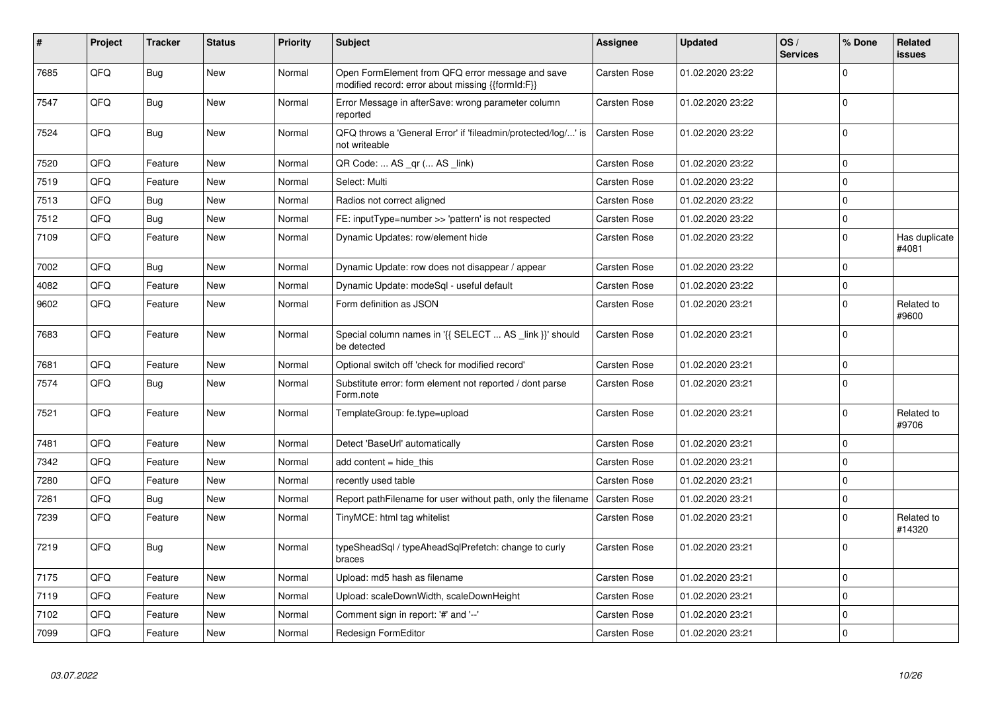| $\vert$ # | Project | <b>Tracker</b> | <b>Status</b> | <b>Priority</b> | <b>Subject</b>                                                                                        | Assignee            | <b>Updated</b>   | OS/<br><b>Services</b> | % Done       | <b>Related</b><br>issues |
|-----------|---------|----------------|---------------|-----------------|-------------------------------------------------------------------------------------------------------|---------------------|------------------|------------------------|--------------|--------------------------|
| 7685      | QFQ     | <b>Bug</b>     | <b>New</b>    | Normal          | Open FormElement from QFQ error message and save<br>modified record: error about missing {{formId:F}} | <b>Carsten Rose</b> | 01.02.2020 23:22 |                        | $\mathbf 0$  |                          |
| 7547      | QFQ     | Bug            | <b>New</b>    | Normal          | Error Message in afterSave: wrong parameter column<br>reported                                        | Carsten Rose        | 01.02.2020 23:22 |                        | $\mathbf 0$  |                          |
| 7524      | QFQ     | Bug            | <b>New</b>    | Normal          | QFQ throws a 'General Error' if 'fileadmin/protected/log/' is<br>not writeable                        | Carsten Rose        | 01.02.2020 23:22 |                        | $\mathbf 0$  |                          |
| 7520      | QFQ     | Feature        | New           | Normal          | QR Code:  AS _qr ( AS _link)                                                                          | Carsten Rose        | 01.02.2020 23:22 |                        | $\mathbf 0$  |                          |
| 7519      | QFQ     | Feature        | <b>New</b>    | Normal          | Select: Multi                                                                                         | <b>Carsten Rose</b> | 01.02.2020 23:22 |                        | $\mathbf 0$  |                          |
| 7513      | QFQ     | Bug            | New           | Normal          | Radios not correct aligned                                                                            | <b>Carsten Rose</b> | 01.02.2020 23:22 |                        | $\mathbf 0$  |                          |
| 7512      | QFQ     | Bug            | <b>New</b>    | Normal          | FE: inputType=number >> 'pattern' is not respected                                                    | <b>Carsten Rose</b> | 01.02.2020 23:22 |                        | $\mathbf 0$  |                          |
| 7109      | QFQ     | Feature        | New           | Normal          | Dynamic Updates: row/element hide                                                                     | Carsten Rose        | 01.02.2020 23:22 |                        | $\pmb{0}$    | Has duplicate<br>#4081   |
| 7002      | QFQ     | Bug            | <b>New</b>    | Normal          | Dynamic Update: row does not disappear / appear                                                       | Carsten Rose        | 01.02.2020 23:22 |                        | $\mathbf 0$  |                          |
| 4082      | QFQ     | Feature        | New           | Normal          | Dynamic Update: modeSql - useful default                                                              | Carsten Rose        | 01.02.2020 23:22 |                        | $\pmb{0}$    |                          |
| 9602      | QFQ     | Feature        | New           | Normal          | Form definition as JSON                                                                               | Carsten Rose        | 01.02.2020 23:21 |                        | $\mathbf 0$  | Related to<br>#9600      |
| 7683      | QFQ     | Feature        | New           | Normal          | Special column names in '{{ SELECT  AS _link }}' should<br>be detected                                | Carsten Rose        | 01.02.2020 23:21 |                        | $\mathbf 0$  |                          |
| 7681      | QFQ     | Feature        | <b>New</b>    | Normal          | Optional switch off 'check for modified record'                                                       | <b>Carsten Rose</b> | 01.02.2020 23:21 |                        | $\pmb{0}$    |                          |
| 7574      | QFQ     | <b>Bug</b>     | New           | Normal          | Substitute error: form element not reported / dont parse<br>Form.note                                 | Carsten Rose        | 01.02.2020 23:21 |                        | $\pmb{0}$    |                          |
| 7521      | QFQ     | Feature        | <b>New</b>    | Normal          | TemplateGroup: fe.type=upload                                                                         | Carsten Rose        | 01.02.2020 23:21 |                        | $\pmb{0}$    | Related to<br>#9706      |
| 7481      | QFQ     | Feature        | New           | Normal          | Detect 'BaseUrl' automatically                                                                        | <b>Carsten Rose</b> | 01.02.2020 23:21 |                        | $\pmb{0}$    |                          |
| 7342      | QFQ     | Feature        | <b>New</b>    | Normal          | add content $=$ hide this                                                                             | Carsten Rose        | 01.02.2020 23:21 |                        | $\pmb{0}$    |                          |
| 7280      | QFQ     | Feature        | New           | Normal          | recently used table                                                                                   | <b>Carsten Rose</b> | 01.02.2020 23:21 |                        | $\mathbf 0$  |                          |
| 7261      | QFQ     | Bug            | New           | Normal          | Report pathFilename for user without path, only the filename                                          | Carsten Rose        | 01.02.2020 23:21 |                        | $\pmb{0}$    |                          |
| 7239      | QFQ     | Feature        | New           | Normal          | TinyMCE: html tag whitelist                                                                           | Carsten Rose        | 01.02.2020 23:21 |                        | $\mathbf 0$  | Related to<br>#14320     |
| 7219      | QFQ     | <b>Bug</b>     | <b>New</b>    | Normal          | typeSheadSql / typeAheadSqlPrefetch: change to curly<br>braces                                        | Carsten Rose        | 01.02.2020 23:21 |                        | $\Omega$     |                          |
| 7175      | QFQ     | Feature        | <b>New</b>    | Normal          | Upload: md5 hash as filename                                                                          | <b>Carsten Rose</b> | 01.02.2020 23:21 |                        | $\pmb{0}$    |                          |
| 7119      | QFQ     | Feature        | New           | Normal          | Upload: scaleDownWidth, scaleDownHeight                                                               | Carsten Rose        | 01.02.2020 23:21 |                        | $\mathbf 0$  |                          |
| 7102      | QFQ     | Feature        | New           | Normal          | Comment sign in report: '#' and '--'                                                                  | <b>Carsten Rose</b> | 01.02.2020 23:21 |                        | $\pmb{0}$    |                          |
| 7099      | QFQ     | Feature        | <b>New</b>    | Normal          | Redesign FormEditor                                                                                   | <b>Carsten Rose</b> | 01.02.2020 23:21 |                        | $\mathbf{0}$ |                          |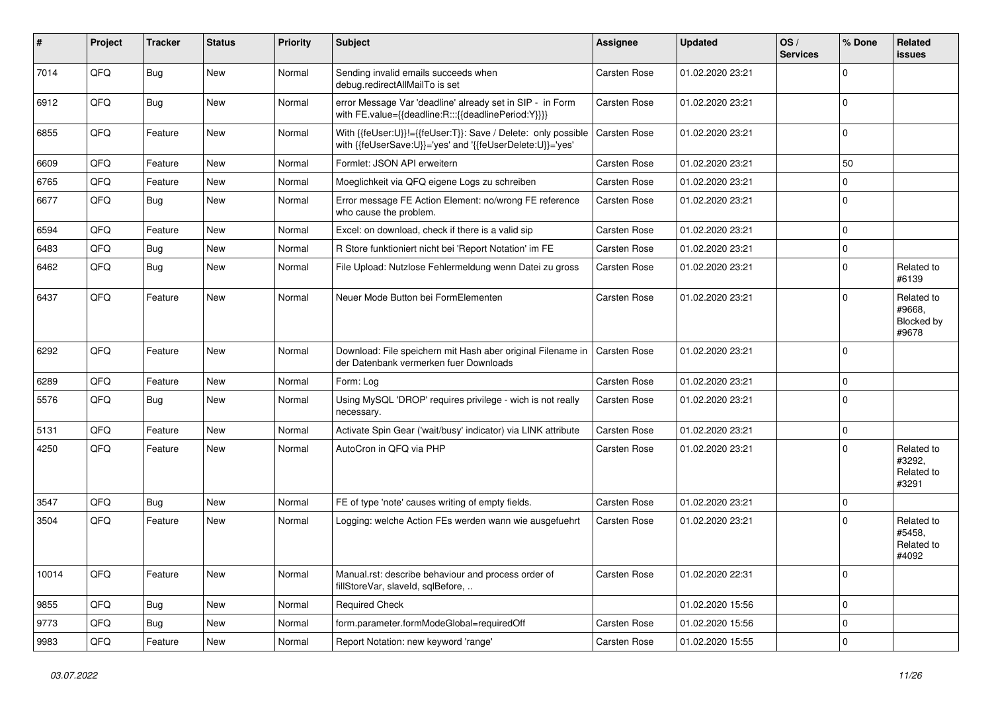| #     | Project | <b>Tracker</b> | <b>Status</b> | <b>Priority</b> | <b>Subject</b>                                                                                                             | Assignee            | <b>Updated</b>   | OS/<br><b>Services</b> | % Done      | <b>Related</b><br><b>issues</b>             |
|-------|---------|----------------|---------------|-----------------|----------------------------------------------------------------------------------------------------------------------------|---------------------|------------------|------------------------|-------------|---------------------------------------------|
| 7014  | QFQ     | Bug            | <b>New</b>    | Normal          | Sending invalid emails succeeds when<br>debug.redirectAllMailTo is set                                                     | <b>Carsten Rose</b> | 01.02.2020 23:21 |                        | 0           |                                             |
| 6912  | QFQ     | Bug            | New           | Normal          | error Message Var 'deadline' already set in SIP - in Form<br>with FE.value={{deadline:R:::{{deadlinePeriod:Y}}}}           | Carsten Rose        | 01.02.2020 23:21 |                        | 0           |                                             |
| 6855  | QFQ     | Feature        | <b>New</b>    | Normal          | With {{feUser:U}}!={{feUser:T}}: Save / Delete: only possible<br>with {{feUserSave:U}}='yes' and '{{feUserDelete:U}}='yes' | Carsten Rose        | 01.02.2020 23:21 |                        | 0           |                                             |
| 6609  | QFQ     | Feature        | <b>New</b>    | Normal          | Formlet: JSON API erweitern                                                                                                | Carsten Rose        | 01.02.2020 23:21 |                        | 50          |                                             |
| 6765  | QFQ     | Feature        | New           | Normal          | Moeglichkeit via QFQ eigene Logs zu schreiben                                                                              | Carsten Rose        | 01.02.2020 23:21 |                        | 0           |                                             |
| 6677  | QFQ     | Bug            | <b>New</b>    | Normal          | Error message FE Action Element: no/wrong FE reference<br>who cause the problem.                                           | Carsten Rose        | 01.02.2020 23:21 |                        | $\mathbf 0$ |                                             |
| 6594  | QFQ     | Feature        | <b>New</b>    | Normal          | Excel: on download, check if there is a valid sip                                                                          | Carsten Rose        | 01.02.2020 23:21 |                        | 0           |                                             |
| 6483  | QFQ     | <b>Bug</b>     | <b>New</b>    | Normal          | R Store funktioniert nicht bei 'Report Notation' im FE                                                                     | Carsten Rose        | 01.02.2020 23:21 |                        | 0           |                                             |
| 6462  | QFQ     | Bug            | <b>New</b>    | Normal          | File Upload: Nutzlose Fehlermeldung wenn Datei zu gross                                                                    | Carsten Rose        | 01.02.2020 23:21 |                        | 0           | Related to<br>#6139                         |
| 6437  | QFQ     | Feature        | <b>New</b>    | Normal          | Neuer Mode Button bei FormElementen                                                                                        | Carsten Rose        | 01.02.2020 23:21 |                        | 0           | Related to<br>#9668.<br>Blocked by<br>#9678 |
| 6292  | QFQ     | Feature        | <b>New</b>    | Normal          | Download: File speichern mit Hash aber original Filename in<br>der Datenbank vermerken fuer Downloads                      | Carsten Rose        | 01.02.2020 23:21 |                        | 0           |                                             |
| 6289  | QFQ     | Feature        | <b>New</b>    | Normal          | Form: Log                                                                                                                  | Carsten Rose        | 01.02.2020 23:21 |                        | 0           |                                             |
| 5576  | QFQ     | Bug            | <b>New</b>    | Normal          | Using MySQL 'DROP' requires privilege - wich is not really<br>necessary.                                                   | Carsten Rose        | 01.02.2020 23:21 |                        | 0           |                                             |
| 5131  | QFQ     | Feature        | <b>New</b>    | Normal          | Activate Spin Gear ('wait/busy' indicator) via LINK attribute                                                              | Carsten Rose        | 01.02.2020 23:21 |                        | 0           |                                             |
| 4250  | QFQ     | Feature        | New           | Normal          | AutoCron in QFQ via PHP                                                                                                    | Carsten Rose        | 01.02.2020 23:21 |                        | $\Omega$    | Related to<br>#3292,<br>Related to<br>#3291 |
| 3547  | QFQ     | Bug            | <b>New</b>    | Normal          | FE of type 'note' causes writing of empty fields.                                                                          | <b>Carsten Rose</b> | 01.02.2020 23:21 |                        | 0           |                                             |
| 3504  | QFQ     | Feature        | New           | Normal          | Logging: welche Action FEs werden wann wie ausgefuehrt                                                                     | Carsten Rose        | 01.02.2020 23:21 |                        | 0           | Related to<br>#5458,<br>Related to<br>#4092 |
| 10014 | QFQ     | Feature        | <b>New</b>    | Normal          | Manual.rst: describe behaviour and process order of<br>fillStoreVar, slaveId, sqlBefore,                                   | Carsten Rose        | 01.02.2020 22:31 |                        | 0           |                                             |
| 9855  | QFQ     | <b>Bug</b>     | New           | Normal          | <b>Required Check</b>                                                                                                      |                     | 01.02.2020 15:56 |                        | 0           |                                             |
| 9773  | QFQ     | Bug            | New           | Normal          | form.parameter.formModeGlobal=requiredOff                                                                                  | Carsten Rose        | 01.02.2020 15:56 |                        | 0           |                                             |
| 9983  | QFQ     | Feature        | New           | Normal          | Report Notation: new keyword 'range'                                                                                       | Carsten Rose        | 01.02.2020 15:55 |                        | $\pmb{0}$   |                                             |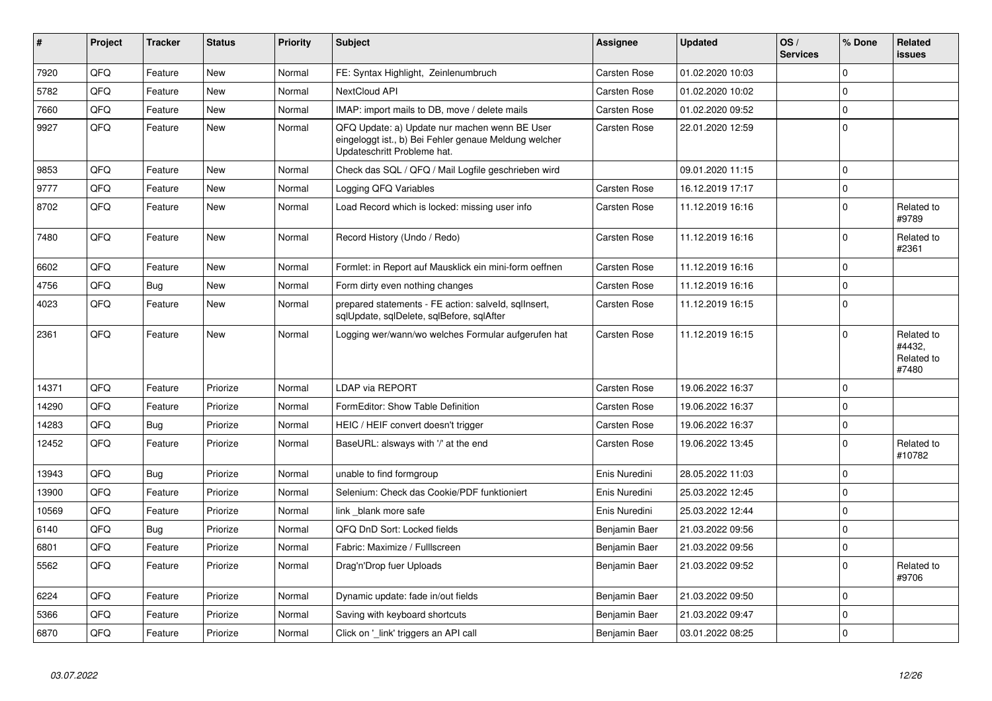| #     | Project | <b>Tracker</b> | <b>Status</b> | <b>Priority</b> | <b>Subject</b>                                                                                                                        | <b>Assignee</b>     | <b>Updated</b>   | OS/<br><b>Services</b> | % Done       | <b>Related</b><br><b>issues</b>             |
|-------|---------|----------------|---------------|-----------------|---------------------------------------------------------------------------------------------------------------------------------------|---------------------|------------------|------------------------|--------------|---------------------------------------------|
| 7920  | QFQ     | Feature        | <b>New</b>    | Normal          | FE: Syntax Highlight, Zeinlenumbruch                                                                                                  | Carsten Rose        | 01.02.2020 10:03 |                        | $\Omega$     |                                             |
| 5782  | QFQ     | Feature        | <b>New</b>    | Normal          | NextCloud API                                                                                                                         | <b>Carsten Rose</b> | 01.02.2020 10:02 |                        | $\Omega$     |                                             |
| 7660  | QFQ     | Feature        | <b>New</b>    | Normal          | IMAP: import mails to DB, move / delete mails                                                                                         | <b>Carsten Rose</b> | 01.02.2020 09:52 |                        | $\mathbf 0$  |                                             |
| 9927  | QFQ     | Feature        | <b>New</b>    | Normal          | QFQ Update: a) Update nur machen wenn BE User<br>eingeloggt ist., b) Bei Fehler genaue Meldung welcher<br>Updateschritt Probleme hat. | <b>Carsten Rose</b> | 22.01.2020 12:59 |                        | $\mathbf{0}$ |                                             |
| 9853  | QFQ     | Feature        | <b>New</b>    | Normal          | Check das SQL / QFQ / Mail Logfile geschrieben wird                                                                                   |                     | 09.01.2020 11:15 |                        | $\Omega$     |                                             |
| 9777  | QFQ     | Feature        | <b>New</b>    | Normal          | Logging QFQ Variables                                                                                                                 | Carsten Rose        | 16.12.2019 17:17 |                        | $\mathbf{0}$ |                                             |
| 8702  | QFQ     | Feature        | <b>New</b>    | Normal          | Load Record which is locked: missing user info                                                                                        | Carsten Rose        | 11.12.2019 16:16 |                        | $\mathbf{0}$ | Related to<br>#9789                         |
| 7480  | QFQ     | Feature        | <b>New</b>    | Normal          | Record History (Undo / Redo)                                                                                                          | Carsten Rose        | 11.12.2019 16:16 |                        | $\Omega$     | Related to<br>#2361                         |
| 6602  | QFQ     | Feature        | <b>New</b>    | Normal          | Formlet: in Report auf Mausklick ein mini-form oeffnen                                                                                | Carsten Rose        | 11.12.2019 16:16 |                        | $\mathbf{0}$ |                                             |
| 4756  | QFQ     | Bug            | <b>New</b>    | Normal          | Form dirty even nothing changes                                                                                                       | Carsten Rose        | 11.12.2019 16:16 |                        | $\pmb{0}$    |                                             |
| 4023  | QFQ     | Feature        | <b>New</b>    | Normal          | prepared statements - FE action: salveld, sqllnsert,<br>sqlUpdate, sqlDelete, sqlBefore, sqlAfter                                     | Carsten Rose        | 11.12.2019 16:15 |                        | $\mathbf{0}$ |                                             |
| 2361  | QFQ     | Feature        | <b>New</b>    | Normal          | Logging wer/wann/wo welches Formular aufgerufen hat                                                                                   | <b>Carsten Rose</b> | 11.12.2019 16:15 |                        | $\Omega$     | Related to<br>#4432,<br>Related to<br>#7480 |
| 14371 | QFQ     | Feature        | Priorize      | Normal          | LDAP via REPORT                                                                                                                       | <b>Carsten Rose</b> | 19.06.2022 16:37 |                        | $\mathbf 0$  |                                             |
| 14290 | QFQ     | Feature        | Priorize      | Normal          | FormEditor: Show Table Definition                                                                                                     | <b>Carsten Rose</b> | 19.06.2022 16:37 |                        | $\Omega$     |                                             |
| 14283 | QFQ     | Bug            | Priorize      | Normal          | HEIC / HEIF convert doesn't trigger                                                                                                   | Carsten Rose        | 19.06.2022 16:37 |                        | $\mathbf 0$  |                                             |
| 12452 | QFQ     | Feature        | Priorize      | Normal          | BaseURL: alsways with '/' at the end                                                                                                  | <b>Carsten Rose</b> | 19.06.2022 13:45 |                        | $\mathbf{0}$ | Related to<br>#10782                        |
| 13943 | QFQ     | Bug            | Priorize      | Normal          | unable to find formgroup                                                                                                              | Enis Nuredini       | 28.05.2022 11:03 |                        | $\mathbf{0}$ |                                             |
| 13900 | QFQ     | Feature        | Priorize      | Normal          | Selenium: Check das Cookie/PDF funktioniert                                                                                           | Enis Nuredini       | 25.03.2022 12:45 |                        | 0            |                                             |
| 10569 | QFQ     | Feature        | Priorize      | Normal          | link blank more safe                                                                                                                  | Enis Nuredini       | 25.03.2022 12:44 |                        | $\mathbf{0}$ |                                             |
| 6140  | QFQ     | <b>Bug</b>     | Priorize      | Normal          | QFQ DnD Sort: Locked fields                                                                                                           | Benjamin Baer       | 21.03.2022 09:56 |                        | $\pmb{0}$    |                                             |
| 6801  | QFQ     | Feature        | Priorize      | Normal          | Fabric: Maximize / Fulllscreen                                                                                                        | Benjamin Baer       | 21.03.2022 09:56 |                        | $\mathbf 0$  |                                             |
| 5562  | QFQ     | Feature        | Priorize      | Normal          | Drag'n'Drop fuer Uploads                                                                                                              | Benjamin Baer       | 21.03.2022 09:52 |                        | $\mathbf 0$  | Related to<br>#9706                         |
| 6224  | QFQ     | Feature        | Priorize      | Normal          | Dynamic update: fade in/out fields                                                                                                    | Benjamin Baer       | 21.03.2022 09:50 |                        | $\mathbf 0$  |                                             |
| 5366  | QFQ     | Feature        | Priorize      | Normal          | Saving with keyboard shortcuts                                                                                                        | Benjamin Baer       | 21.03.2022 09:47 |                        | 0            |                                             |
| 6870  | QFQ     | Feature        | Priorize      | Normal          | Click on 'link' triggers an API call                                                                                                  | Benjamin Baer       | 03.01.2022 08:25 |                        | $\pmb{0}$    |                                             |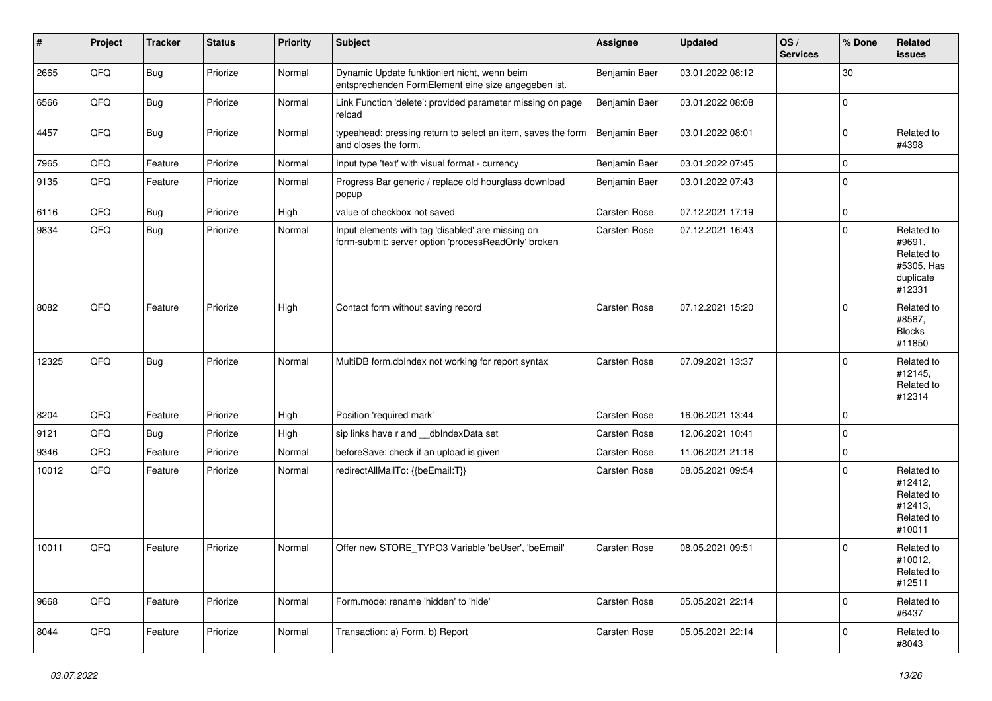| $\vert$ # | <b>Project</b> | <b>Tracker</b> | <b>Status</b> | <b>Priority</b> | <b>Subject</b>                                                                                           | Assignee            | <b>Updated</b>   | OS/<br><b>Services</b> | % Done         | <b>Related</b><br><b>issues</b>                                         |
|-----------|----------------|----------------|---------------|-----------------|----------------------------------------------------------------------------------------------------------|---------------------|------------------|------------------------|----------------|-------------------------------------------------------------------------|
| 2665      | QFQ            | <b>Bug</b>     | Priorize      | Normal          | Dynamic Update funktioniert nicht, wenn beim<br>entsprechenden FormElement eine size angegeben ist.      | Benjamin Baer       | 03.01.2022 08:12 |                        | 30             |                                                                         |
| 6566      | QFQ            | Bug            | Priorize      | Normal          | Link Function 'delete': provided parameter missing on page<br>reload                                     | Benjamin Baer       | 03.01.2022 08:08 |                        | $\overline{0}$ |                                                                         |
| 4457      | QFQ            | <b>Bug</b>     | Priorize      | Normal          | typeahead: pressing return to select an item, saves the form<br>and closes the form.                     | Benjamin Baer       | 03.01.2022 08:01 |                        | $\Omega$       | Related to<br>#4398                                                     |
| 7965      | QFQ            | Feature        | Priorize      | Normal          | Input type 'text' with visual format - currency                                                          | Benjamin Baer       | 03.01.2022 07:45 |                        | $\mathbf{0}$   |                                                                         |
| 9135      | QFQ            | Feature        | Priorize      | Normal          | Progress Bar generic / replace old hourglass download<br>popup                                           | Benjamin Baer       | 03.01.2022 07:43 |                        | $\Omega$       |                                                                         |
| 6116      | QFQ            | Bug            | Priorize      | High            | value of checkbox not saved                                                                              | <b>Carsten Rose</b> | 07.12.2021 17:19 |                        | $\mathbf 0$    |                                                                         |
| 9834      | QFQ            | Bug            | Priorize      | Normal          | Input elements with tag 'disabled' are missing on<br>form-submit: server option 'processReadOnly' broken | Carsten Rose        | 07.12.2021 16:43 |                        | 0              | Related to<br>#9691,<br>Related to<br>#5305, Has<br>duplicate<br>#12331 |
| 8082      | QFQ            | Feature        | Priorize      | High            | Contact form without saving record                                                                       | Carsten Rose        | 07.12.2021 15:20 |                        | $\Omega$       | Related to<br>#8587,<br><b>Blocks</b><br>#11850                         |
| 12325     | QFQ            | Bug            | Priorize      | Normal          | MultiDB form.dblndex not working for report syntax                                                       | <b>Carsten Rose</b> | 07.09.2021 13:37 |                        | $\Omega$       | Related to<br>#12145,<br>Related to<br>#12314                           |
| 8204      | QFQ            | Feature        | Priorize      | High            | Position 'required mark'                                                                                 | Carsten Rose        | 16.06.2021 13:44 |                        | 0              |                                                                         |
| 9121      | QFQ            | <b>Bug</b>     | Priorize      | High            | sip links have r and __dbIndexData set                                                                   | Carsten Rose        | 12.06.2021 10:41 |                        | $\mathbf 0$    |                                                                         |
| 9346      | QFQ            | Feature        | Priorize      | Normal          | beforeSave: check if an upload is given                                                                  | <b>Carsten Rose</b> | 11.06.2021 21:18 |                        | $\pmb{0}$      |                                                                         |
| 10012     | QFQ            | Feature        | Priorize      | Normal          | redirectAllMailTo: {{beEmail:T}}                                                                         | <b>Carsten Rose</b> | 08.05.2021 09:54 |                        | $\Omega$       | Related to<br>#12412,<br>Related to<br>#12413,<br>Related to<br>#10011  |
| 10011     | QFQ            | Feature        | Priorize      | Normal          | Offer new STORE TYPO3 Variable 'beUser', 'beEmail'                                                       | <b>Carsten Rose</b> | 08.05.2021 09:51 |                        | $\Omega$       | Related to<br>#10012,<br>Related to<br>#12511                           |
| 9668      | QFQ            | Feature        | Priorize      | Normal          | Form.mode: rename 'hidden' to 'hide'                                                                     | Carsten Rose        | 05.05.2021 22:14 |                        | $\Omega$       | Related to<br>#6437                                                     |
| 8044      | QFQ            | Feature        | Priorize      | Normal          | Transaction: a) Form, b) Report                                                                          | <b>Carsten Rose</b> | 05.05.2021 22:14 |                        | $\Omega$       | Related to<br>#8043                                                     |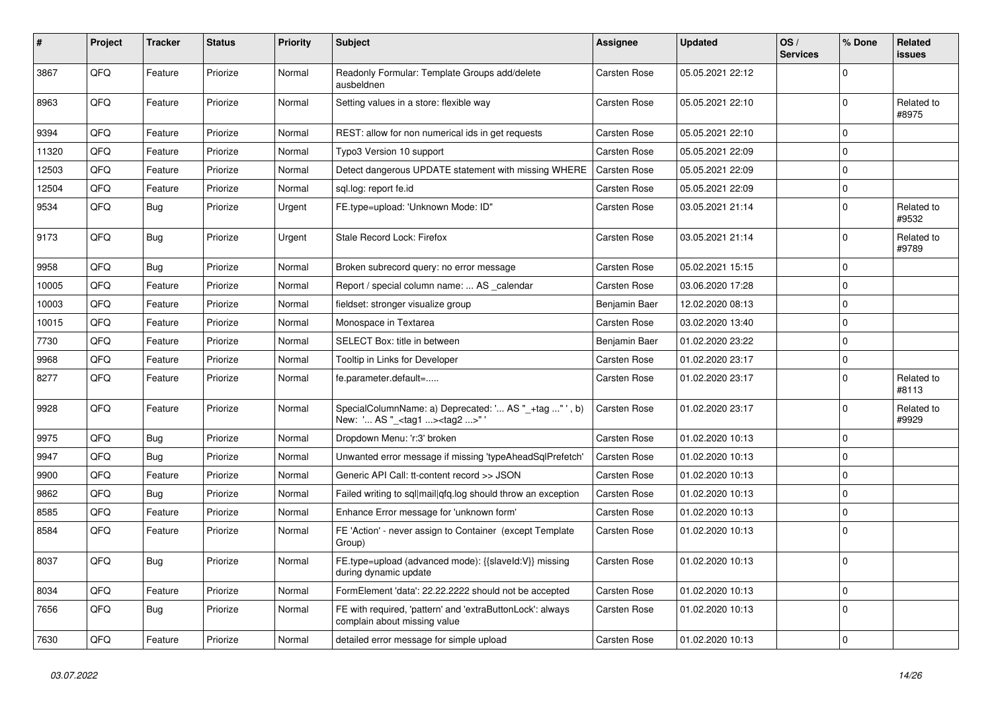| #     | Project | <b>Tracker</b> | <b>Status</b> | <b>Priority</b> | <b>Subject</b>                                                                                      | Assignee            | <b>Updated</b>   | OS/<br><b>Services</b> | % Done      | <b>Related</b><br><b>issues</b> |
|-------|---------|----------------|---------------|-----------------|-----------------------------------------------------------------------------------------------------|---------------------|------------------|------------------------|-------------|---------------------------------|
| 3867  | QFQ     | Feature        | Priorize      | Normal          | Readonly Formular: Template Groups add/delete<br>ausbeldnen                                         | <b>Carsten Rose</b> | 05.05.2021 22:12 |                        | $\Omega$    |                                 |
| 8963  | QFQ     | Feature        | Priorize      | Normal          | Setting values in a store: flexible way                                                             | Carsten Rose        | 05.05.2021 22:10 |                        | $\Omega$    | Related to<br>#8975             |
| 9394  | QFQ     | Feature        | Priorize      | Normal          | REST: allow for non numerical ids in get requests                                                   | Carsten Rose        | 05.05.2021 22:10 |                        | $\Omega$    |                                 |
| 11320 | QFQ     | Feature        | Priorize      | Normal          | Typo3 Version 10 support                                                                            | Carsten Rose        | 05.05.2021 22:09 |                        | $\mathbf 0$ |                                 |
| 12503 | QFQ     | Feature        | Priorize      | Normal          | Detect dangerous UPDATE statement with missing WHERE                                                | <b>Carsten Rose</b> | 05.05.2021 22:09 |                        | $\mathbf 0$ |                                 |
| 12504 | QFQ     | Feature        | Priorize      | Normal          | sgl.log: report fe.id                                                                               | Carsten Rose        | 05.05.2021 22:09 |                        | $\pmb{0}$   |                                 |
| 9534  | QFQ     | Bug            | Priorize      | Urgent          | FE.type=upload: 'Unknown Mode: ID"                                                                  | Carsten Rose        | 03.05.2021 21:14 |                        | $\mathbf 0$ | Related to<br>#9532             |
| 9173  | QFQ     | <b>Bug</b>     | Priorize      | Urgent          | Stale Record Lock: Firefox                                                                          | Carsten Rose        | 03.05.2021 21:14 |                        | $\Omega$    | Related to<br>#9789             |
| 9958  | QFQ     | <b>Bug</b>     | Priorize      | Normal          | Broken subrecord query: no error message                                                            | Carsten Rose        | 05.02.2021 15:15 |                        | $\Omega$    |                                 |
| 10005 | QFQ     | Feature        | Priorize      | Normal          | Report / special column name:  AS calendar                                                          | Carsten Rose        | 03.06.2020 17:28 |                        | $\mathbf 0$ |                                 |
| 10003 | QFQ     | Feature        | Priorize      | Normal          | fieldset: stronger visualize group                                                                  | Benjamin Baer       | 12.02.2020 08:13 |                        | $\mathbf 0$ |                                 |
| 10015 | QFQ     | Feature        | Priorize      | Normal          | Monospace in Textarea                                                                               | Carsten Rose        | 03.02.2020 13:40 |                        | $\mathbf 0$ |                                 |
| 7730  | QFQ     | Feature        | Priorize      | Normal          | SELECT Box: title in between                                                                        | Benjamin Baer       | 01.02.2020 23:22 |                        | $\mathbf 0$ |                                 |
| 9968  | QFQ     | Feature        | Priorize      | Normal          | Tooltip in Links for Developer                                                                      | Carsten Rose        | 01.02.2020 23:17 |                        | $\mathbf 0$ |                                 |
| 8277  | QFQ     | Feature        | Priorize      | Normal          | fe.parameter.default=                                                                               | Carsten Rose        | 01.02.2020 23:17 |                        | $\mathbf 0$ | Related to<br>#8113             |
| 9928  | QFQ     | Feature        | Priorize      | Normal          | SpecialColumnName: a) Deprecated: ' AS "_+tag " ', b)<br>New: ' AS "_ <tag1><tag2>" '</tag2></tag1> | Carsten Rose        | 01.02.2020 23:17 |                        | $\Omega$    | Related to<br>#9929             |
| 9975  | QFQ     | <b>Bug</b>     | Priorize      | Normal          | Dropdown Menu: 'r:3' broken                                                                         | Carsten Rose        | 01.02.2020 10:13 |                        | $\mathbf 0$ |                                 |
| 9947  | QFQ     | Bug            | Priorize      | Normal          | Unwanted error message if missing 'typeAheadSqlPrefetch'                                            | Carsten Rose        | 01.02.2020 10:13 |                        | $\Omega$    |                                 |
| 9900  | QFQ     | Feature        | Priorize      | Normal          | Generic API Call: tt-content record >> JSON                                                         | Carsten Rose        | 01.02.2020 10:13 |                        | $\mathbf 0$ |                                 |
| 9862  | QFQ     | Bug            | Priorize      | Normal          | Failed writing to sql mail qfq.log should throw an exception                                        | Carsten Rose        | 01.02.2020 10:13 |                        | $\mathbf 0$ |                                 |
| 8585  | QFQ     | Feature        | Priorize      | Normal          | Enhance Error message for 'unknown form'                                                            | <b>Carsten Rose</b> | 01.02.2020 10:13 |                        | $\mathbf 0$ |                                 |
| 8584  | QFQ     | Feature        | Priorize      | Normal          | FE 'Action' - never assign to Container (except Template<br>Group)                                  | <b>Carsten Rose</b> | 01.02.2020 10:13 |                        | $\mathbf 0$ |                                 |
| 8037  | QFQ     | <b>Bug</b>     | Priorize      | Normal          | FE.type=upload (advanced mode): {{slaveld:V}} missing<br>during dynamic update                      | Carsten Rose        | 01.02.2020 10:13 |                        | $\Omega$    |                                 |
| 8034  | QFQ     | Feature        | Priorize      | Normal          | FormElement 'data': 22.22.2222 should not be accepted                                               | Carsten Rose        | 01.02.2020 10:13 |                        | $\mathbf 0$ |                                 |
| 7656  | QFQ     | Bug            | Priorize      | Normal          | FE with required, 'pattern' and 'extraButtonLock': always<br>complain about missing value           | Carsten Rose        | 01.02.2020 10:13 |                        | $\Omega$    |                                 |
| 7630  | QFQ     | Feature        | Priorize      | Normal          | detailed error message for simple upload                                                            | Carsten Rose        | 01.02.2020 10:13 |                        | $\mathbf 0$ |                                 |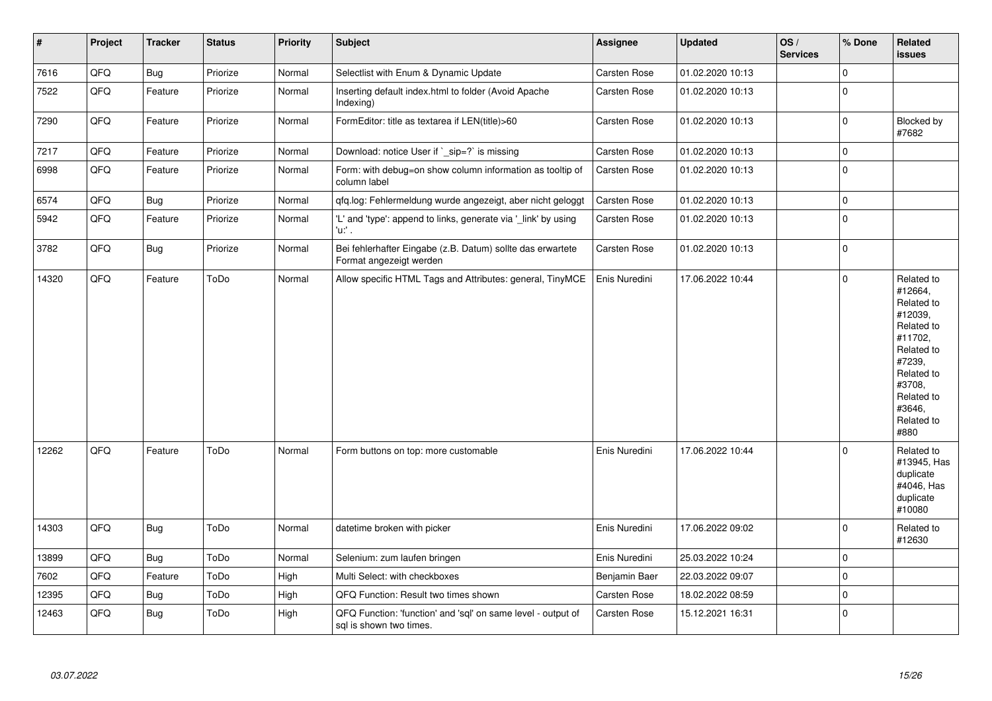| $\vert$ # | Project | <b>Tracker</b> | <b>Status</b> | <b>Priority</b> | <b>Subject</b>                                                                          | <b>Assignee</b> | <b>Updated</b>   | OS/<br><b>Services</b> | % Done       | Related<br><b>issues</b>                                                                                                                                              |
|-----------|---------|----------------|---------------|-----------------|-----------------------------------------------------------------------------------------|-----------------|------------------|------------------------|--------------|-----------------------------------------------------------------------------------------------------------------------------------------------------------------------|
| 7616      | QFQ     | <b>Bug</b>     | Priorize      | Normal          | Selectlist with Enum & Dynamic Update                                                   | Carsten Rose    | 01.02.2020 10:13 |                        | $\mathbf 0$  |                                                                                                                                                                       |
| 7522      | QFQ     | Feature        | Priorize      | Normal          | Inserting default index.html to folder (Avoid Apache<br>Indexing)                       | Carsten Rose    | 01.02.2020 10:13 |                        | $\mathbf{0}$ |                                                                                                                                                                       |
| 7290      | QFQ     | Feature        | Priorize      | Normal          | FormEditor: title as textarea if LEN(title)>60                                          | Carsten Rose    | 01.02.2020 10:13 |                        | $\pmb{0}$    | Blocked by<br>#7682                                                                                                                                                   |
| 7217      | QFQ     | Feature        | Priorize      | Normal          | Download: notice User if `_sip=?` is missing                                            | Carsten Rose    | 01.02.2020 10:13 |                        | $\mathbf{0}$ |                                                                                                                                                                       |
| 6998      | QFQ     | Feature        | Priorize      | Normal          | Form: with debug=on show column information as tooltip of<br>column label               | Carsten Rose    | 01.02.2020 10:13 |                        | $\pmb{0}$    |                                                                                                                                                                       |
| 6574      | QFQ     | <b>Bug</b>     | Priorize      | Normal          | qfq.log: Fehlermeldung wurde angezeigt, aber nicht geloggt                              | Carsten Rose    | 01.02.2020 10:13 |                        | $\mathbf 0$  |                                                                                                                                                                       |
| 5942      | QFQ     | Feature        | Priorize      | Normal          | 'L' and 'type': append to links, generate via '_link' by using<br>'u:' .                | Carsten Rose    | 01.02.2020 10:13 |                        | $\mathbf{0}$ |                                                                                                                                                                       |
| 3782      | QFQ     | Bug            | Priorize      | Normal          | Bei fehlerhafter Eingabe (z.B. Datum) sollte das erwartete<br>Format angezeigt werden   | Carsten Rose    | 01.02.2020 10:13 |                        | $\mathbf 0$  |                                                                                                                                                                       |
| 14320     | QFQ     | Feature        | ToDo          | Normal          | Allow specific HTML Tags and Attributes: general, TinyMCE                               | Enis Nuredini   | 17.06.2022 10:44 |                        | $\mathbf{0}$ | Related to<br>#12664,<br>Related to<br>#12039,<br>Related to<br>#11702.<br>Related to<br>#7239,<br>Related to<br>#3708,<br>Related to<br>#3646.<br>Related to<br>#880 |
| 12262     | QFQ     | Feature        | ToDo          | Normal          | Form buttons on top: more customable                                                    | Enis Nuredini   | 17.06.2022 10:44 |                        | $\mathbf 0$  | Related to<br>#13945, Has<br>duplicate<br>#4046, Has<br>duplicate<br>#10080                                                                                           |
| 14303     | QFQ     | Bug            | ToDo          | Normal          | datetime broken with picker                                                             | Enis Nuredini   | 17.06.2022 09:02 |                        | $\bf 0$      | Related to<br>#12630                                                                                                                                                  |
| 13899     | QFQ     | <b>Bug</b>     | ToDo          | Normal          | Selenium: zum laufen bringen                                                            | Enis Nuredini   | 25.03.2022 10:24 |                        | $\mathbf 0$  |                                                                                                                                                                       |
| 7602      | QFQ     | Feature        | ToDo          | High            | Multi Select: with checkboxes                                                           | Benjamin Baer   | 22.03.2022 09:07 |                        | $\pmb{0}$    |                                                                                                                                                                       |
| 12395     | QFQ     | Bug            | ToDo          | High            | QFQ Function: Result two times shown                                                    | Carsten Rose    | 18.02.2022 08:59 |                        | $\pmb{0}$    |                                                                                                                                                                       |
| 12463     | QFQ     | Bug            | ToDo          | High            | QFQ Function: 'function' and 'sql' on same level - output of<br>sql is shown two times. | Carsten Rose    | 15.12.2021 16:31 |                        | $\mathbf 0$  |                                                                                                                                                                       |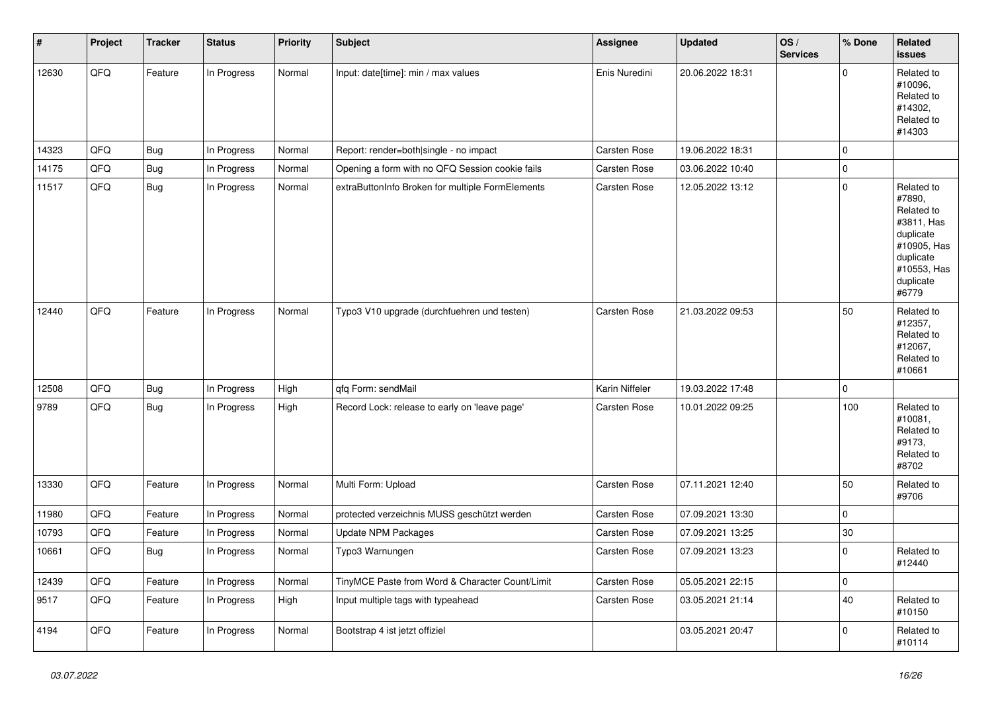| $\pmb{\sharp}$ | Project | <b>Tracker</b> | <b>Status</b> | <b>Priority</b> | <b>Subject</b>                                   | Assignee            | <b>Updated</b>   | OS/<br><b>Services</b> | % Done       | Related<br><b>issues</b>                                                                                                       |
|----------------|---------|----------------|---------------|-----------------|--------------------------------------------------|---------------------|------------------|------------------------|--------------|--------------------------------------------------------------------------------------------------------------------------------|
| 12630          | QFQ     | Feature        | In Progress   | Normal          | Input: date[time]: min / max values              | Enis Nuredini       | 20.06.2022 18:31 |                        | $\mathbf{0}$ | Related to<br>#10096.<br>Related to<br>#14302,<br>Related to<br>#14303                                                         |
| 14323          | QFQ     | Bug            | In Progress   | Normal          | Report: render=both single - no impact           | <b>Carsten Rose</b> | 19.06.2022 18:31 |                        | $\mathbf 0$  |                                                                                                                                |
| 14175          | QFQ     | <b>Bug</b>     | In Progress   | Normal          | Opening a form with no QFQ Session cookie fails  | Carsten Rose        | 03.06.2022 10:40 |                        | $\pmb{0}$    |                                                                                                                                |
| 11517          | QFQ     | Bug            | In Progress   | Normal          | extraButtonInfo Broken for multiple FormElements | Carsten Rose        | 12.05.2022 13:12 |                        | $\mathbf 0$  | Related to<br>#7890,<br>Related to<br>#3811, Has<br>duplicate<br>#10905, Has<br>duplicate<br>#10553, Has<br>duplicate<br>#6779 |
| 12440          | QFQ     | Feature        | In Progress   | Normal          | Typo3 V10 upgrade (durchfuehren und testen)      | <b>Carsten Rose</b> | 21.03.2022 09:53 |                        | 50           | Related to<br>#12357,<br>Related to<br>#12067,<br>Related to<br>#10661                                                         |
| 12508          | QFQ     | Bug            | In Progress   | High            | qfq Form: sendMail                               | Karin Niffeler      | 19.03.2022 17:48 |                        | $\mathbf 0$  |                                                                                                                                |
| 9789           | QFQ     | Bug            | In Progress   | High            | Record Lock: release to early on 'leave page'    | <b>Carsten Rose</b> | 10.01.2022 09:25 |                        | 100          | Related to<br>#10081,<br>Related to<br>#9173,<br>Related to<br>#8702                                                           |
| 13330          | QFQ     | Feature        | In Progress   | Normal          | Multi Form: Upload                               | Carsten Rose        | 07.11.2021 12:40 |                        | 50           | Related to<br>#9706                                                                                                            |
| 11980          | QFQ     | Feature        | In Progress   | Normal          | protected verzeichnis MUSS geschützt werden      | <b>Carsten Rose</b> | 07.09.2021 13:30 |                        | $\mathbf 0$  |                                                                                                                                |
| 10793          | QFQ     | Feature        | In Progress   | Normal          | Update NPM Packages                              | <b>Carsten Rose</b> | 07.09.2021 13:25 |                        | 30           |                                                                                                                                |
| 10661          | QFQ     | Bug            | In Progress   | Normal          | Typo3 Warnungen                                  | Carsten Rose        | 07.09.2021 13:23 |                        | $\mathbf 0$  | Related to<br>#12440                                                                                                           |
| 12439          | QFQ     | Feature        | In Progress   | Normal          | TinyMCE Paste from Word & Character Count/Limit  | Carsten Rose        | 05.05.2021 22:15 |                        | $\mathbf 0$  |                                                                                                                                |
| 9517           | QFQ     | Feature        | In Progress   | High            | Input multiple tags with typeahead               | Carsten Rose        | 03.05.2021 21:14 |                        | 40           | Related to<br>#10150                                                                                                           |
| 4194           | QFQ     | Feature        | In Progress   | Normal          | Bootstrap 4 ist jetzt offiziel                   |                     | 03.05.2021 20:47 |                        | $\mathbf 0$  | Related to<br>#10114                                                                                                           |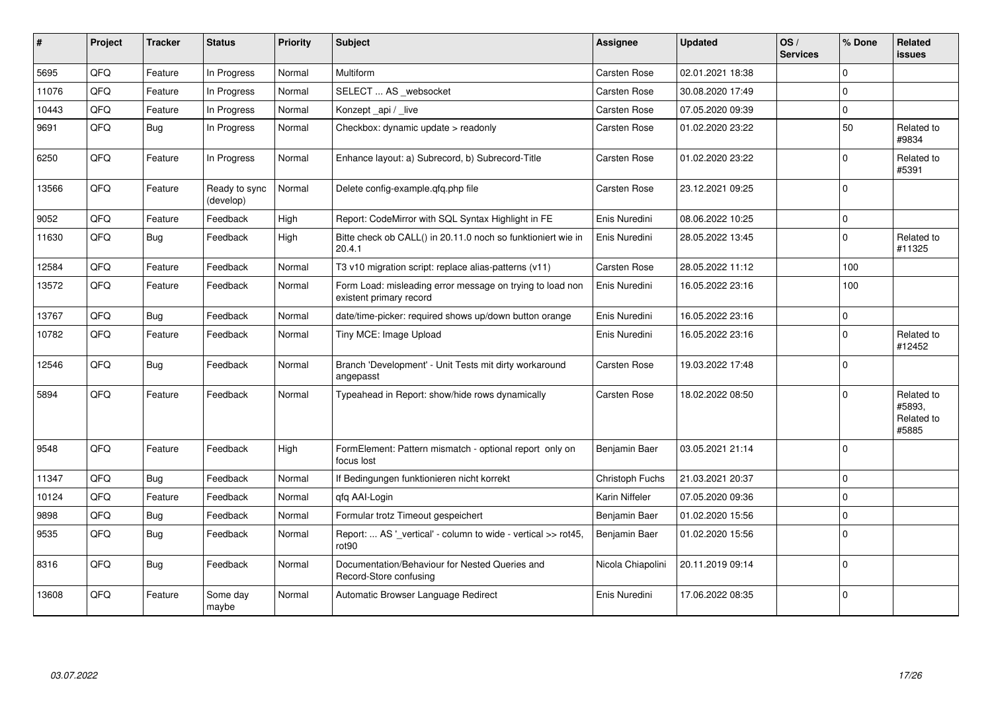| ∦     | Project | <b>Tracker</b> | <b>Status</b>              | <b>Priority</b> | <b>Subject</b>                                                                       | <b>Assignee</b>     | <b>Updated</b>   | OS/<br><b>Services</b> | % Done       | <b>Related</b><br><b>issues</b>             |
|-------|---------|----------------|----------------------------|-----------------|--------------------------------------------------------------------------------------|---------------------|------------------|------------------------|--------------|---------------------------------------------|
| 5695  | QFQ     | Feature        | In Progress                | Normal          | Multiform                                                                            | Carsten Rose        | 02.01.2021 18:38 |                        | $\Omega$     |                                             |
| 11076 | QFQ     | Feature        | In Progress                | Normal          | SELECT  AS _websocket                                                                | <b>Carsten Rose</b> | 30.08.2020 17:49 |                        | 0            |                                             |
| 10443 | QFQ     | Feature        | In Progress                | Normal          | Konzept_api / _live                                                                  | Carsten Rose        | 07.05.2020 09:39 |                        | $\mathbf 0$  |                                             |
| 9691  | QFQ     | Bug            | In Progress                | Normal          | Checkbox: dynamic update > readonly                                                  | <b>Carsten Rose</b> | 01.02.2020 23:22 |                        | 50           | Related to<br>#9834                         |
| 6250  | QFQ     | Feature        | In Progress                | Normal          | Enhance layout: a) Subrecord, b) Subrecord-Title                                     | Carsten Rose        | 01.02.2020 23:22 |                        | $\mathbf 0$  | Related to<br>#5391                         |
| 13566 | QFQ     | Feature        | Ready to sync<br>(develop) | Normal          | Delete config-example.qfq.php file                                                   | Carsten Rose        | 23.12.2021 09:25 |                        | $\Omega$     |                                             |
| 9052  | QFQ     | Feature        | Feedback                   | High            | Report: CodeMirror with SQL Syntax Highlight in FE                                   | Enis Nuredini       | 08.06.2022 10:25 |                        | $\mathbf 0$  |                                             |
| 11630 | QFQ     | <b>Bug</b>     | Feedback                   | High            | Bitte check ob CALL() in 20.11.0 noch so funktioniert wie in<br>20.4.1               | Enis Nuredini       | 28.05.2022 13:45 |                        | $\mathbf{0}$ | Related to<br>#11325                        |
| 12584 | QFQ     | Feature        | Feedback                   | Normal          | T3 v10 migration script: replace alias-patterns (v11)                                | Carsten Rose        | 28.05.2022 11:12 |                        | 100          |                                             |
| 13572 | QFQ     | Feature        | Feedback                   | Normal          | Form Load: misleading error message on trying to load non<br>existent primary record | Enis Nuredini       | 16.05.2022 23:16 |                        | 100          |                                             |
| 13767 | QFQ     | Bug            | Feedback                   | Normal          | date/time-picker: required shows up/down button orange                               | Enis Nuredini       | 16.05.2022 23:16 |                        | $\mathbf 0$  |                                             |
| 10782 | QFQ     | Feature        | Feedback                   | Normal          | Tiny MCE: Image Upload                                                               | Enis Nuredini       | 16.05.2022 23:16 |                        | $\Omega$     | Related to<br>#12452                        |
| 12546 | QFQ     | <b>Bug</b>     | Feedback                   | Normal          | Branch 'Development' - Unit Tests mit dirty workaround<br>angepasst                  | <b>Carsten Rose</b> | 19.03.2022 17:48 |                        | $\mathbf{0}$ |                                             |
| 5894  | QFQ     | Feature        | Feedback                   | Normal          | Typeahead in Report: show/hide rows dynamically                                      | Carsten Rose        | 18.02.2022 08:50 |                        | 0            | Related to<br>#5893,<br>Related to<br>#5885 |
| 9548  | QFQ     | Feature        | Feedback                   | High            | FormElement: Pattern mismatch - optional report only on<br>focus lost                | Benjamin Baer       | 03.05.2021 21:14 |                        | $\Omega$     |                                             |
| 11347 | QFQ     | <b>Bug</b>     | Feedback                   | Normal          | If Bedingungen funktionieren nicht korrekt                                           | Christoph Fuchs     | 21.03.2021 20:37 |                        | $\Omega$     |                                             |
| 10124 | QFQ     | Feature        | Feedback                   | Normal          | gfg AAI-Login                                                                        | Karin Niffeler      | 07.05.2020 09:36 |                        | 0            |                                             |
| 9898  | QFQ     | <b>Bug</b>     | Feedback                   | Normal          | Formular trotz Timeout gespeichert                                                   | Benjamin Baer       | 01.02.2020 15:56 |                        | $\mathbf{0}$ |                                             |
| 9535  | QFQ     | <b>Bug</b>     | Feedback                   | Normal          | Report:  AS '_vertical' - column to wide - vertical >> rot45,<br>rot90               | Benjamin Baer       | 01.02.2020 15:56 |                        | $\Omega$     |                                             |
| 8316  | QFQ     | <b>Bug</b>     | Feedback                   | Normal          | Documentation/Behaviour for Nested Queries and<br>Record-Store confusing             | Nicola Chiapolini   | 20.11.2019 09:14 |                        | $\mathbf 0$  |                                             |
| 13608 | QFQ     | Feature        | Some day<br>maybe          | Normal          | Automatic Browser Language Redirect                                                  | Enis Nuredini       | 17.06.2022 08:35 |                        | $\mathbf{0}$ |                                             |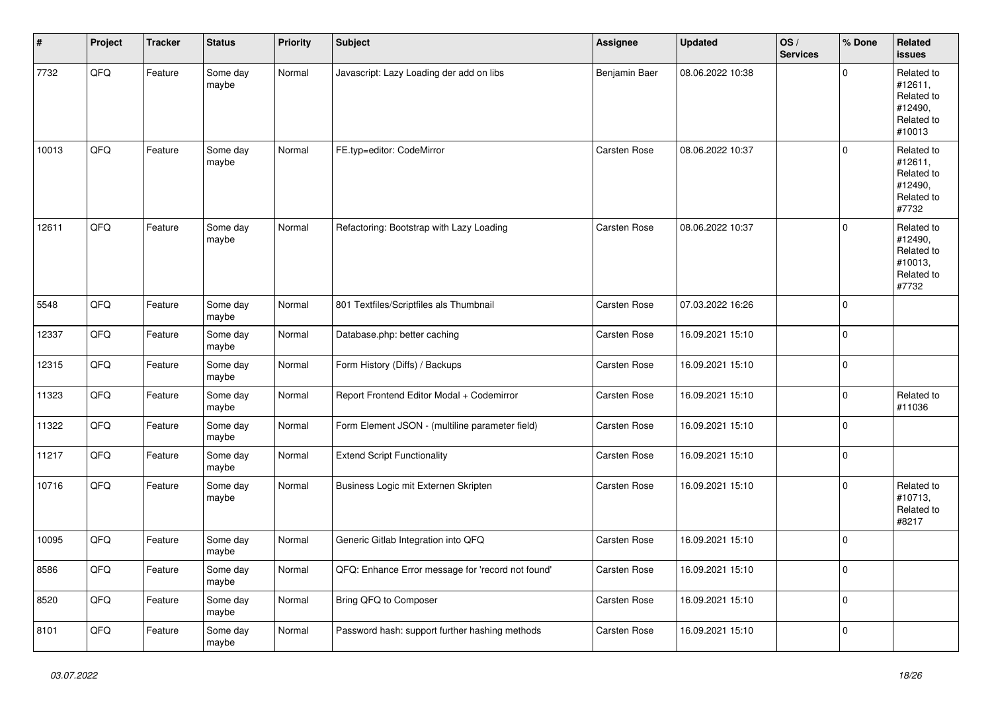| $\vert$ # | Project | <b>Tracker</b> | <b>Status</b>     | <b>Priority</b> | <b>Subject</b>                                    | <b>Assignee</b>     | <b>Updated</b>   | OS/<br><b>Services</b> | % Done              | Related<br><b>issues</b>                                               |
|-----------|---------|----------------|-------------------|-----------------|---------------------------------------------------|---------------------|------------------|------------------------|---------------------|------------------------------------------------------------------------|
| 7732      | QFQ     | Feature        | Some day<br>maybe | Normal          | Javascript: Lazy Loading der add on libs          | Benjamin Baer       | 08.06.2022 10:38 |                        | $\mathbf{0}$        | Related to<br>#12611,<br>Related to<br>#12490,<br>Related to<br>#10013 |
| 10013     | QFQ     | Feature        | Some day<br>maybe | Normal          | FE.typ=editor: CodeMirror                         | <b>Carsten Rose</b> | 08.06.2022 10:37 |                        | $\mathbf 0$         | Related to<br>#12611,<br>Related to<br>#12490,<br>Related to<br>#7732  |
| 12611     | QFQ     | Feature        | Some day<br>maybe | Normal          | Refactoring: Bootstrap with Lazy Loading          | Carsten Rose        | 08.06.2022 10:37 |                        | $\mathbf{0}$        | Related to<br>#12490,<br>Related to<br>#10013,<br>Related to<br>#7732  |
| 5548      | QFQ     | Feature        | Some day<br>maybe | Normal          | 801 Textfiles/Scriptfiles als Thumbnail           | Carsten Rose        | 07.03.2022 16:26 |                        | $\Omega$            |                                                                        |
| 12337     | QFQ     | Feature        | Some day<br>maybe | Normal          | Database.php: better caching                      | Carsten Rose        | 16.09.2021 15:10 |                        | $\mathbf{0}$        |                                                                        |
| 12315     | QFQ     | Feature        | Some day<br>maybe | Normal          | Form History (Diffs) / Backups                    | <b>Carsten Rose</b> | 16.09.2021 15:10 |                        | $\mathbf{0}$        |                                                                        |
| 11323     | QFQ     | Feature        | Some day<br>maybe | Normal          | Report Frontend Editor Modal + Codemirror         | Carsten Rose        | 16.09.2021 15:10 |                        | $\mathsf{O}\xspace$ | Related to<br>#11036                                                   |
| 11322     | QFQ     | Feature        | Some day<br>maybe | Normal          | Form Element JSON - (multiline parameter field)   | Carsten Rose        | 16.09.2021 15:10 |                        | $\mathsf{O}\xspace$ |                                                                        |
| 11217     | QFQ     | Feature        | Some day<br>maybe | Normal          | <b>Extend Script Functionality</b>                | Carsten Rose        | 16.09.2021 15:10 |                        | $\mathbf 0$         |                                                                        |
| 10716     | QFQ     | Feature        | Some day<br>maybe | Normal          | Business Logic mit Externen Skripten              | <b>Carsten Rose</b> | 16.09.2021 15:10 |                        | $\mathbf 0$         | Related to<br>#10713,<br>Related to<br>#8217                           |
| 10095     | QFQ     | Feature        | Some day<br>maybe | Normal          | Generic Gitlab Integration into QFQ               | <b>Carsten Rose</b> | 16.09.2021 15:10 |                        | $\mathbf{0}$        |                                                                        |
| 8586      | QFQ     | Feature        | Some day<br>maybe | Normal          | QFQ: Enhance Error message for 'record not found' | Carsten Rose        | 16.09.2021 15:10 |                        | $\mathbf{0}$        |                                                                        |
| 8520      | QFQ     | Feature        | Some day<br>maybe | Normal          | Bring QFQ to Composer                             | Carsten Rose        | 16.09.2021 15:10 |                        | $\mathbf{0}$        |                                                                        |
| 8101      | QFQ     | Feature        | Some day<br>maybe | Normal          | Password hash: support further hashing methods    | Carsten Rose        | 16.09.2021 15:10 |                        | 0                   |                                                                        |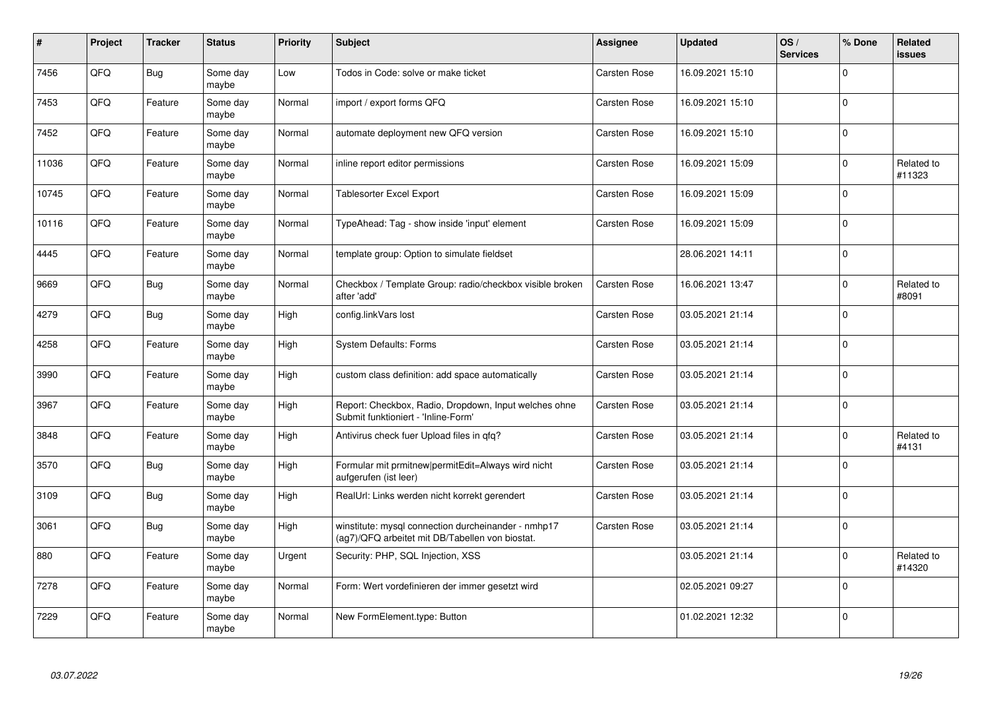| #     | Project | <b>Tracker</b> | <b>Status</b>     | <b>Priority</b> | <b>Subject</b>                                                                                         | <b>Assignee</b>     | <b>Updated</b>   | OS/<br><b>Services</b> | % Done       | <b>Related</b><br><b>issues</b> |
|-------|---------|----------------|-------------------|-----------------|--------------------------------------------------------------------------------------------------------|---------------------|------------------|------------------------|--------------|---------------------------------|
| 7456  | QFQ     | Bug            | Some day<br>maybe | Low             | Todos in Code: solve or make ticket                                                                    | <b>Carsten Rose</b> | 16.09.2021 15:10 |                        | 0            |                                 |
| 7453  | QFQ     | Feature        | Some day<br>maybe | Normal          | import / export forms QFQ                                                                              | Carsten Rose        | 16.09.2021 15:10 |                        | $\mathbf 0$  |                                 |
| 7452  | QFQ     | Feature        | Some day<br>maybe | Normal          | automate deployment new QFQ version                                                                    | Carsten Rose        | 16.09.2021 15:10 |                        | $\Omega$     |                                 |
| 11036 | QFQ     | Feature        | Some day<br>maybe | Normal          | inline report editor permissions                                                                       | Carsten Rose        | 16.09.2021 15:09 |                        | $\Omega$     | Related to<br>#11323            |
| 10745 | QFQ     | Feature        | Some day<br>maybe | Normal          | Tablesorter Excel Export                                                                               | Carsten Rose        | 16.09.2021 15:09 |                        | $\mathbf 0$  |                                 |
| 10116 | QFQ     | Feature        | Some day<br>maybe | Normal          | TypeAhead: Tag - show inside 'input' element                                                           | Carsten Rose        | 16.09.2021 15:09 |                        | $\Omega$     |                                 |
| 4445  | QFQ     | Feature        | Some day<br>maybe | Normal          | template group: Option to simulate fieldset                                                            |                     | 28.06.2021 14:11 |                        | $\mathbf 0$  |                                 |
| 9669  | QFQ     | Bug            | Some day<br>maybe | Normal          | Checkbox / Template Group: radio/checkbox visible broken<br>after 'add'                                | Carsten Rose        | 16.06.2021 13:47 |                        | 0            | Related to<br>#8091             |
| 4279  | QFQ     | Bug            | Some day<br>maybe | High            | config.linkVars lost                                                                                   | Carsten Rose        | 03.05.2021 21:14 |                        | $\Omega$     |                                 |
| 4258  | QFQ     | Feature        | Some day<br>maybe | High            | <b>System Defaults: Forms</b>                                                                          | Carsten Rose        | 03.05.2021 21:14 |                        | 0            |                                 |
| 3990  | QFQ     | Feature        | Some day<br>maybe | High            | custom class definition: add space automatically                                                       | Carsten Rose        | 03.05.2021 21:14 |                        | $\mathbf{0}$ |                                 |
| 3967  | QFQ     | Feature        | Some day<br>maybe | High            | Report: Checkbox, Radio, Dropdown, Input welches ohne<br>Submit funktioniert - 'Inline-Form'           | Carsten Rose        | 03.05.2021 21:14 |                        | $\Omega$     |                                 |
| 3848  | QFQ     | Feature        | Some day<br>maybe | High            | Antivirus check fuer Upload files in qfq?                                                              | Carsten Rose        | 03.05.2021 21:14 |                        | $\mathbf 0$  | Related to<br>#4131             |
| 3570  | QFQ     | Bug            | Some day<br>maybe | High            | Formular mit prmitnew permitEdit=Always wird nicht<br>aufgerufen (ist leer)                            | Carsten Rose        | 03.05.2021 21:14 |                        | $\mathbf 0$  |                                 |
| 3109  | QFQ     | Bug            | Some day<br>maybe | High            | RealUrl: Links werden nicht korrekt gerendert                                                          | Carsten Rose        | 03.05.2021 21:14 |                        | $\Omega$     |                                 |
| 3061  | QFQ     | <b>Bug</b>     | Some day<br>maybe | High            | winstitute: mysql connection durcheinander - nmhp17<br>(ag7)/QFQ arbeitet mit DB/Tabellen von biostat. | Carsten Rose        | 03.05.2021 21:14 |                        | $\Omega$     |                                 |
| 880   | QFQ     | Feature        | Some day<br>maybe | Urgent          | Security: PHP, SQL Injection, XSS                                                                      |                     | 03.05.2021 21:14 |                        | $\Omega$     | Related to<br>#14320            |
| 7278  | QFO     | Feature        | Some day<br>maybe | Normal          | Form: Wert vordefinieren der immer gesetzt wird                                                        |                     | 02.05.2021 09:27 |                        | $\Omega$     |                                 |
| 7229  | QFQ     | Feature        | Some day<br>maybe | Normal          | New FormElement.type: Button                                                                           |                     | 01.02.2021 12:32 |                        | $\Omega$     |                                 |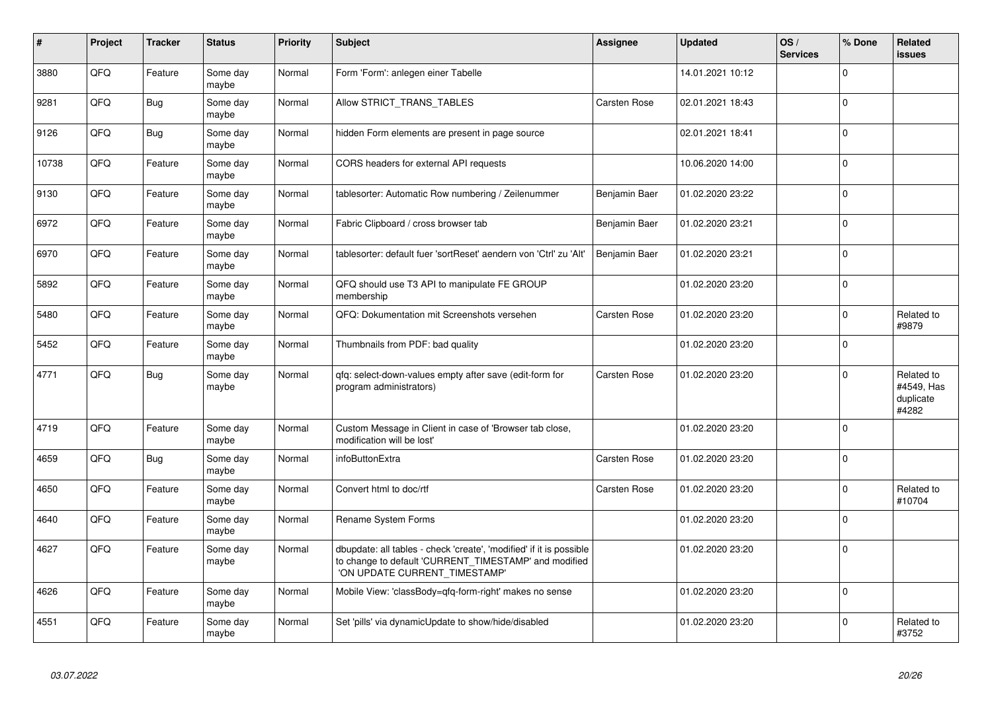| #     | Project | <b>Tracker</b> | <b>Status</b>     | <b>Priority</b> | <b>Subject</b>                                                                                                                                                | <b>Assignee</b>     | <b>Updated</b>   | OS/<br><b>Services</b> | % Done      | <b>Related</b><br><b>issues</b>                |
|-------|---------|----------------|-------------------|-----------------|---------------------------------------------------------------------------------------------------------------------------------------------------------------|---------------------|------------------|------------------------|-------------|------------------------------------------------|
| 3880  | QFQ     | Feature        | Some day<br>maybe | Normal          | Form 'Form': anlegen einer Tabelle                                                                                                                            |                     | 14.01.2021 10:12 |                        | $\mathbf 0$ |                                                |
| 9281  | QFQ     | Bug            | Some dav<br>maybe | Normal          | Allow STRICT_TRANS_TABLES                                                                                                                                     | Carsten Rose        | 02.01.2021 18:43 |                        | $\mathbf 0$ |                                                |
| 9126  | QFQ     | <b>Bug</b>     | Some dav<br>maybe | Normal          | hidden Form elements are present in page source                                                                                                               |                     | 02.01.2021 18:41 |                        | $\mathbf 0$ |                                                |
| 10738 | QFQ     | Feature        | Some day<br>maybe | Normal          | CORS headers for external API requests                                                                                                                        |                     | 10.06.2020 14:00 |                        | $\Omega$    |                                                |
| 9130  | QFQ     | Feature        | Some day<br>maybe | Normal          | tablesorter: Automatic Row numbering / Zeilenummer                                                                                                            | Benjamin Baer       | 01.02.2020 23:22 |                        | $\Omega$    |                                                |
| 6972  | QFQ     | Feature        | Some day<br>maybe | Normal          | Fabric Clipboard / cross browser tab                                                                                                                          | Benjamin Baer       | 01.02.2020 23:21 |                        | $\mathbf 0$ |                                                |
| 6970  | QFQ     | Feature        | Some day<br>maybe | Normal          | tablesorter: default fuer 'sortReset' aendern von 'Ctrl' zu 'Alt'                                                                                             | Benjamin Baer       | 01.02.2020 23:21 |                        | $\mathbf 0$ |                                                |
| 5892  | QFQ     | Feature        | Some day<br>maybe | Normal          | QFQ should use T3 API to manipulate FE GROUP<br>membership                                                                                                    |                     | 01.02.2020 23:20 |                        | $\mathbf 0$ |                                                |
| 5480  | QFQ     | Feature        | Some dav<br>maybe | Normal          | QFQ: Dokumentation mit Screenshots versehen                                                                                                                   | <b>Carsten Rose</b> | 01.02.2020 23:20 |                        | $\mathbf 0$ | Related to<br>#9879                            |
| 5452  | QFQ     | Feature        | Some dav<br>maybe | Normal          | Thumbnails from PDF: bad quality                                                                                                                              |                     | 01.02.2020 23:20 |                        | $\mathbf 0$ |                                                |
| 4771  | QFQ     | <b>Bug</b>     | Some day<br>maybe | Normal          | qfq: select-down-values empty after save (edit-form for<br>program administrators)                                                                            | <b>Carsten Rose</b> | 01.02.2020 23:20 |                        | $\Omega$    | Related to<br>#4549, Has<br>duplicate<br>#4282 |
| 4719  | QFQ     | Feature        | Some day<br>maybe | Normal          | Custom Message in Client in case of 'Browser tab close,<br>modification will be lost'                                                                         |                     | 01.02.2020 23:20 |                        | $\mathbf 0$ |                                                |
| 4659  | QFQ     | <b>Bug</b>     | Some day<br>maybe | Normal          | infoButtonExtra                                                                                                                                               | Carsten Rose        | 01.02.2020 23:20 |                        | $\mathbf 0$ |                                                |
| 4650  | QFQ     | Feature        | Some day<br>maybe | Normal          | Convert html to doc/rtf                                                                                                                                       | Carsten Rose        | 01.02.2020 23:20 |                        | $\mathbf 0$ | Related to<br>#10704                           |
| 4640  | QFQ     | Feature        | Some day<br>maybe | Normal          | Rename System Forms                                                                                                                                           |                     | 01.02.2020 23:20 |                        | $\pmb{0}$   |                                                |
| 4627  | QFQ     | Feature        | Some day<br>maybe | Normal          | dbupdate: all tables - check 'create', 'modified' if it is possible<br>to change to default 'CURRENT_TIMESTAMP' and modified<br>'ON UPDATE CURRENT TIMESTAMP' |                     | 01.02.2020 23:20 |                        | $\Omega$    |                                                |
| 4626  | QFQ     | Feature        | Some day<br>maybe | Normal          | Mobile View: 'classBody=qfq-form-right' makes no sense                                                                                                        |                     | 01.02.2020 23:20 |                        | $\mathbf 0$ |                                                |
| 4551  | QFQ     | Feature        | Some day<br>maybe | Normal          | Set 'pills' via dynamicUpdate to show/hide/disabled                                                                                                           |                     | 01.02.2020 23:20 |                        | $\mathbf 0$ | Related to<br>#3752                            |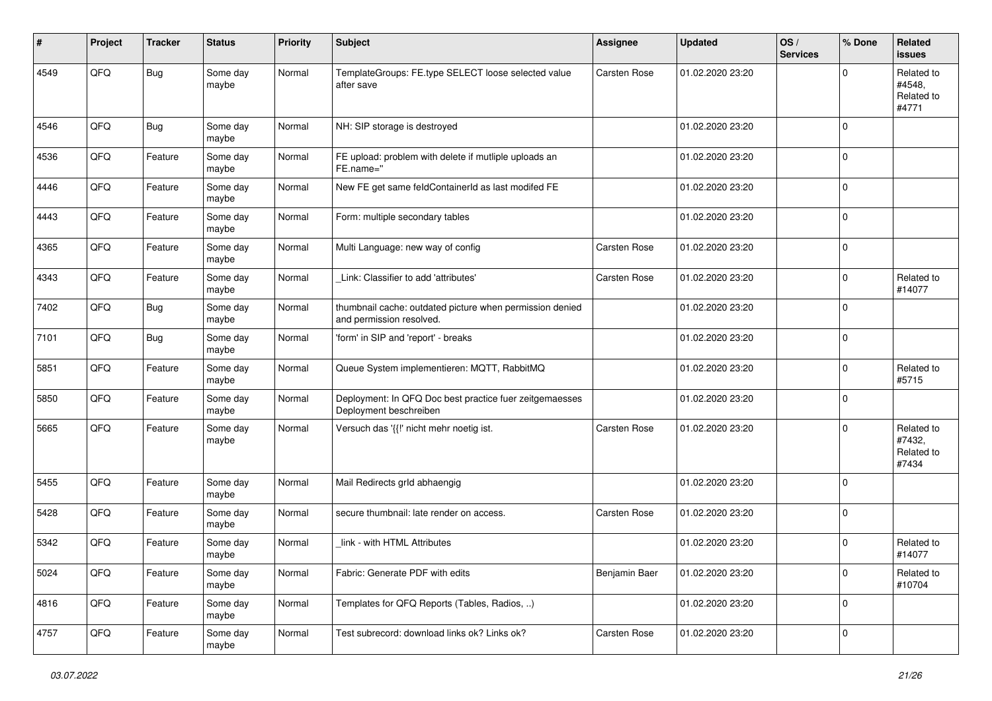| #    | Project | <b>Tracker</b> | <b>Status</b>     | <b>Priority</b> | <b>Subject</b>                                                                       | <b>Assignee</b>     | <b>Updated</b>   | OS/<br><b>Services</b> | % Done       | <b>Related</b><br>issues                    |
|------|---------|----------------|-------------------|-----------------|--------------------------------------------------------------------------------------|---------------------|------------------|------------------------|--------------|---------------------------------------------|
| 4549 | QFQ     | Bug            | Some day<br>maybe | Normal          | TemplateGroups: FE.type SELECT loose selected value<br>after save                    | Carsten Rose        | 01.02.2020 23:20 |                        | 0            | Related to<br>#4548.<br>Related to<br>#4771 |
| 4546 | QFQ     | <b>Bug</b>     | Some day<br>maybe | Normal          | NH: SIP storage is destroyed                                                         |                     | 01.02.2020 23:20 |                        | 0            |                                             |
| 4536 | QFQ     | Feature        | Some day<br>maybe | Normal          | FE upload: problem with delete if mutliple uploads an<br>FE.name="                   |                     | 01.02.2020 23:20 |                        | 0            |                                             |
| 4446 | QFQ     | Feature        | Some day<br>maybe | Normal          | New FE get same feldContainerId as last modifed FE                                   |                     | 01.02.2020 23:20 |                        | $\mathbf 0$  |                                             |
| 4443 | QFQ     | Feature        | Some day<br>maybe | Normal          | Form: multiple secondary tables                                                      |                     | 01.02.2020 23:20 |                        | 0            |                                             |
| 4365 | QFQ     | Feature        | Some day<br>maybe | Normal          | Multi Language: new way of config                                                    | Carsten Rose        | 01.02.2020 23:20 |                        | 0            |                                             |
| 4343 | QFQ     | Feature        | Some day<br>maybe | Normal          | Link: Classifier to add 'attributes'                                                 | Carsten Rose        | 01.02.2020 23:20 |                        | $\mathbf 0$  | Related to<br>#14077                        |
| 7402 | QFQ     | <b>Bug</b>     | Some day<br>maybe | Normal          | thumbnail cache: outdated picture when permission denied<br>and permission resolved. |                     | 01.02.2020 23:20 |                        | $\Omega$     |                                             |
| 7101 | QFQ     | <b>Bug</b>     | Some day<br>maybe | Normal          | 'form' in SIP and 'report' - breaks                                                  |                     | 01.02.2020 23:20 |                        | $\mathbf 0$  |                                             |
| 5851 | QFQ     | Feature        | Some day<br>maybe | Normal          | Queue System implementieren: MQTT, RabbitMQ                                          |                     | 01.02.2020 23:20 |                        | $\mathbf 0$  | Related to<br>#5715                         |
| 5850 | QFQ     | Feature        | Some day<br>maybe | Normal          | Deployment: In QFQ Doc best practice fuer zeitgemaesses<br>Deployment beschreiben    |                     | 01.02.2020 23:20 |                        | $\mathbf 0$  |                                             |
| 5665 | QFQ     | Feature        | Some day<br>maybe | Normal          | Versuch das '{{!' nicht mehr noetig ist.                                             | <b>Carsten Rose</b> | 01.02.2020 23:20 |                        | 0            | Related to<br>#7432,<br>Related to<br>#7434 |
| 5455 | QFQ     | Feature        | Some day<br>maybe | Normal          | Mail Redirects grld abhaengig                                                        |                     | 01.02.2020 23:20 |                        | $\mathbf 0$  |                                             |
| 5428 | QFQ     | Feature        | Some day<br>maybe | Normal          | secure thumbnail: late render on access.                                             | <b>Carsten Rose</b> | 01.02.2020 23:20 |                        | $\mathbf{0}$ |                                             |
| 5342 | QFQ     | Feature        | Some day<br>maybe | Normal          | link - with HTML Attributes                                                          |                     | 01.02.2020 23:20 |                        | 0            | Related to<br>#14077                        |
| 5024 | QFO     | Feature        | Some day<br>maybe | Normal          | Fabric: Generate PDF with edits                                                      | Benjamin Baer       | 01.02.2020 23:20 |                        | 0            | Related to<br>#10704                        |
| 4816 | QFO     | Feature        | Some day<br>maybe | Normal          | Templates for QFQ Reports (Tables, Radios, )                                         |                     | 01.02.2020 23:20 |                        | 0            |                                             |
| 4757 | QFQ     | Feature        | Some day<br>maybe | Normal          | Test subrecord: download links ok? Links ok?                                         | Carsten Rose        | 01.02.2020 23:20 |                        | 0            |                                             |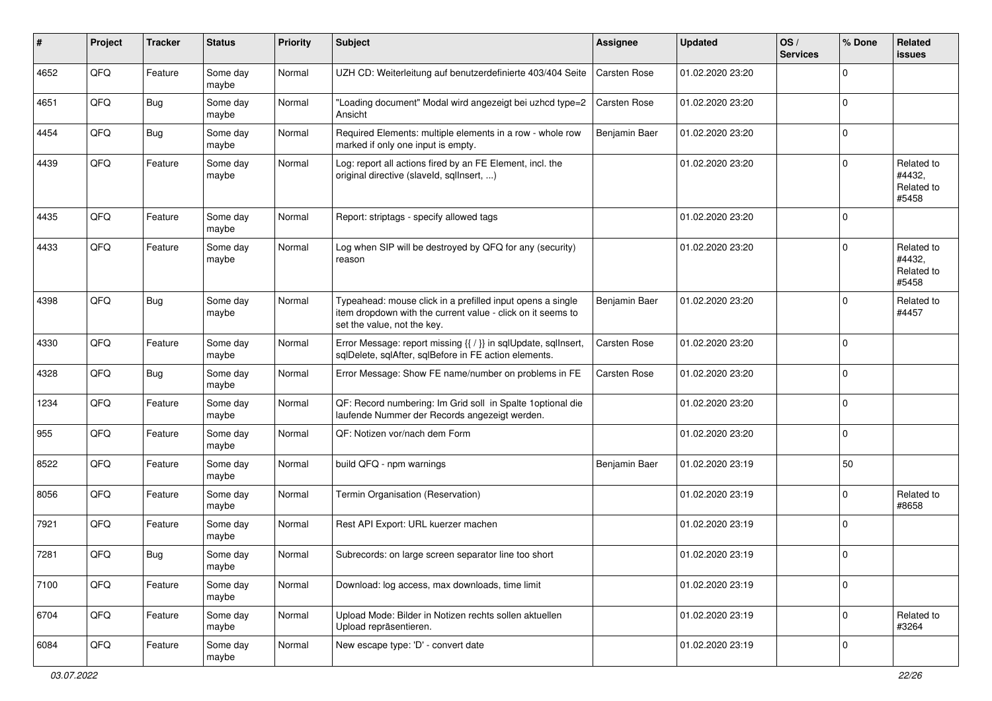| #    | Project | <b>Tracker</b> | <b>Status</b>     | <b>Priority</b> | <b>Subject</b>                                                                                                                                           | <b>Assignee</b>     | <b>Updated</b>   | OS/<br><b>Services</b> | % Done      | Related<br><b>issues</b>                    |
|------|---------|----------------|-------------------|-----------------|----------------------------------------------------------------------------------------------------------------------------------------------------------|---------------------|------------------|------------------------|-------------|---------------------------------------------|
| 4652 | QFQ     | Feature        | Some day<br>maybe | Normal          | UZH CD: Weiterleitung auf benutzerdefinierte 403/404 Seite                                                                                               | Carsten Rose        | 01.02.2020 23:20 |                        | $\Omega$    |                                             |
| 4651 | QFQ     | Bug            | Some day<br>maybe | Normal          | "Loading document" Modal wird angezeigt bei uzhcd type=2<br>Ansicht                                                                                      | Carsten Rose        | 01.02.2020 23:20 |                        | $\mathbf 0$ |                                             |
| 4454 | QFQ     | <b>Bug</b>     | Some day<br>maybe | Normal          | Required Elements: multiple elements in a row - whole row<br>marked if only one input is empty.                                                          | Benjamin Baer       | 01.02.2020 23:20 |                        | $\mathbf 0$ |                                             |
| 4439 | QFQ     | Feature        | Some day<br>maybe | Normal          | Log: report all actions fired by an FE Element, incl. the<br>original directive (slaveld, sqlInsert, )                                                   |                     | 01.02.2020 23:20 |                        | $\mathbf 0$ | Related to<br>#4432,<br>Related to<br>#5458 |
| 4435 | QFQ     | Feature        | Some day<br>maybe | Normal          | Report: striptags - specify allowed tags                                                                                                                 |                     | 01.02.2020 23:20 |                        | $\Omega$    |                                             |
| 4433 | QFQ     | Feature        | Some day<br>maybe | Normal          | Log when SIP will be destroyed by QFQ for any (security)<br>reason                                                                                       |                     | 01.02.2020 23:20 |                        | $\mathbf 0$ | Related to<br>#4432,<br>Related to<br>#5458 |
| 4398 | QFQ     | Bug            | Some day<br>maybe | Normal          | Typeahead: mouse click in a prefilled input opens a single<br>item dropdown with the current value - click on it seems to<br>set the value, not the key. | Benjamin Baer       | 01.02.2020 23:20 |                        | 0           | Related to<br>#4457                         |
| 4330 | QFQ     | Feature        | Some day<br>maybe | Normal          | Error Message: report missing {{ / }} in sqlUpdate, sqlInsert,<br>sqlDelete, sqlAfter, sqlBefore in FE action elements.                                  | <b>Carsten Rose</b> | 01.02.2020 23:20 |                        | $\mathbf 0$ |                                             |
| 4328 | QFQ     | <b>Bug</b>     | Some day<br>maybe | Normal          | Error Message: Show FE name/number on problems in FE                                                                                                     | Carsten Rose        | 01.02.2020 23:20 |                        | 0           |                                             |
| 1234 | QFQ     | Feature        | Some day<br>maybe | Normal          | QF: Record numbering: Im Grid soll in Spalte 1 optional die<br>laufende Nummer der Records angezeigt werden.                                             |                     | 01.02.2020 23:20 |                        | 0           |                                             |
| 955  | QFQ     | Feature        | Some day<br>maybe | Normal          | QF: Notizen vor/nach dem Form                                                                                                                            |                     | 01.02.2020 23:20 |                        | 0           |                                             |
| 8522 | QFQ     | Feature        | Some day<br>maybe | Normal          | build QFQ - npm warnings                                                                                                                                 | Benjamin Baer       | 01.02.2020 23:19 |                        | 50          |                                             |
| 8056 | QFQ     | Feature        | Some day<br>maybe | Normal          | Termin Organisation (Reservation)                                                                                                                        |                     | 01.02.2020 23:19 |                        | 0           | Related to<br>#8658                         |
| 7921 | QFQ     | Feature        | Some day<br>maybe | Normal          | Rest API Export: URL kuerzer machen                                                                                                                      |                     | 01.02.2020 23:19 |                        | $\mathbf 0$ |                                             |
| 7281 | QFQ     | <b>Bug</b>     | Some day<br>maybe | Normal          | Subrecords: on large screen separator line too short                                                                                                     |                     | 01.02.2020 23:19 |                        | $\mathbf 0$ |                                             |
| 7100 | QFO     | Feature        | Some day<br>maybe | Normal          | Download: log access, max downloads, time limit                                                                                                          |                     | 01.02.2020 23:19 |                        | $\mathbf 0$ |                                             |
| 6704 | QFQ     | Feature        | Some day<br>maybe | Normal          | Upload Mode: Bilder in Notizen rechts sollen aktuellen<br>Upload repräsentieren.                                                                         |                     | 01.02.2020 23:19 |                        | $\mathbf 0$ | Related to<br>#3264                         |
| 6084 | QFO     | Feature        | Some day<br>maybe | Normal          | New escape type: 'D' - convert date                                                                                                                      |                     | 01.02.2020 23:19 |                        | $\mathbf 0$ |                                             |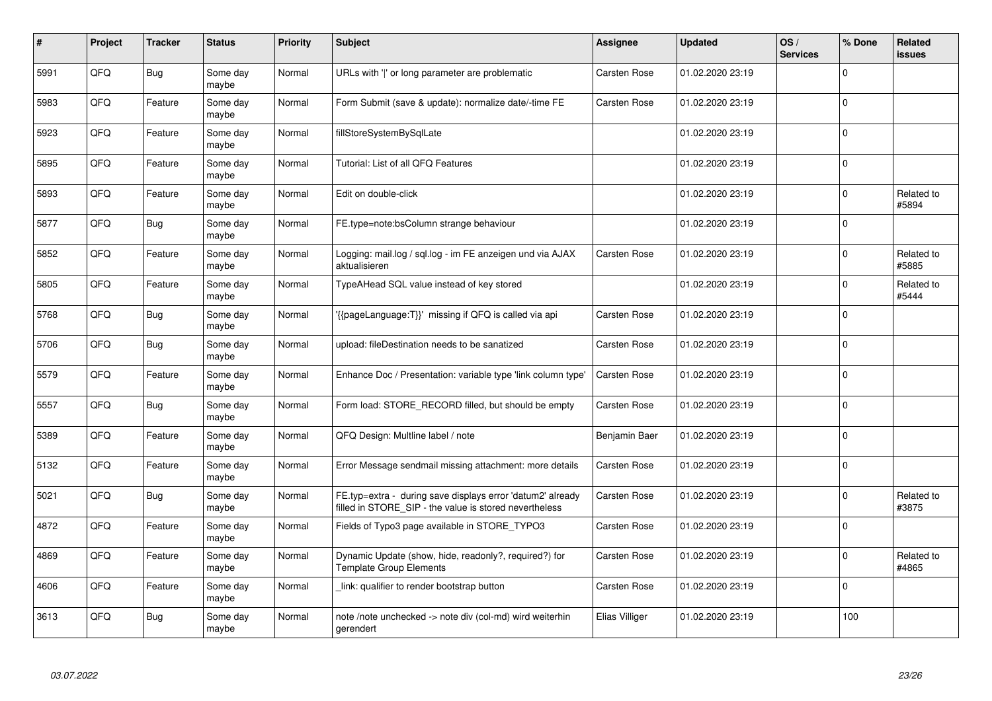| #    | Project | <b>Tracker</b> | <b>Status</b>     | <b>Priority</b> | <b>Subject</b>                                                                                                       | Assignee       | <b>Updated</b>   | OS/<br><b>Services</b> | % Done      | Related<br><b>issues</b> |
|------|---------|----------------|-------------------|-----------------|----------------------------------------------------------------------------------------------------------------------|----------------|------------------|------------------------|-------------|--------------------------|
| 5991 | QFQ     | <b>Bug</b>     | Some day<br>maybe | Normal          | URLs with ' ' or long parameter are problematic                                                                      | Carsten Rose   | 01.02.2020 23:19 |                        | $\Omega$    |                          |
| 5983 | QFQ     | Feature        | Some day<br>maybe | Normal          | Form Submit (save & update): normalize date/-time FE                                                                 | Carsten Rose   | 01.02.2020 23:19 |                        | $\Omega$    |                          |
| 5923 | QFQ     | Feature        | Some day<br>maybe | Normal          | fillStoreSystemBySqlLate                                                                                             |                | 01.02.2020 23:19 |                        | $\mathbf 0$ |                          |
| 5895 | QFQ     | Feature        | Some day<br>maybe | Normal          | Tutorial: List of all QFQ Features                                                                                   |                | 01.02.2020 23:19 |                        | $\Omega$    |                          |
| 5893 | QFQ     | Feature        | Some day<br>maybe | Normal          | Edit on double-click                                                                                                 |                | 01.02.2020 23:19 |                        | $\mathbf 0$ | Related to<br>#5894      |
| 5877 | QFQ     | Bug            | Some dav<br>maybe | Normal          | FE.type=note:bsColumn strange behaviour                                                                              |                | 01.02.2020 23:19 |                        | $\mathbf 0$ |                          |
| 5852 | QFQ     | Feature        | Some day<br>maybe | Normal          | Logging: mail.log / sql.log - im FE anzeigen und via AJAX<br>aktualisieren                                           | Carsten Rose   | 01.02.2020 23:19 |                        | $\Omega$    | Related to<br>#5885      |
| 5805 | QFQ     | Feature        | Some day<br>maybe | Normal          | TypeAHead SQL value instead of key stored                                                                            |                | 01.02.2020 23:19 |                        | $\Omega$    | Related to<br>#5444      |
| 5768 | QFQ     | Bug            | Some day<br>maybe | Normal          | {{pageLanguage:T}}' missing if QFQ is called via api                                                                 | Carsten Rose   | 01.02.2020 23:19 |                        | $\mathbf 0$ |                          |
| 5706 | QFQ     | <b>Bug</b>     | Some day<br>maybe | Normal          | upload: fileDestination needs to be sanatized                                                                        | Carsten Rose   | 01.02.2020 23:19 |                        | $\mathbf 0$ |                          |
| 5579 | QFQ     | Feature        | Some day<br>maybe | Normal          | Enhance Doc / Presentation: variable type 'link column type'                                                         | Carsten Rose   | 01.02.2020 23:19 |                        | $\Omega$    |                          |
| 5557 | QFQ     | <b>Bug</b>     | Some dav<br>maybe | Normal          | Form load: STORE RECORD filled, but should be empty                                                                  | Carsten Rose   | 01.02.2020 23:19 |                        | $\mathbf 0$ |                          |
| 5389 | QFQ     | Feature        | Some day<br>maybe | Normal          | QFQ Design: Multline label / note                                                                                    | Benjamin Baer  | 01.02.2020 23:19 |                        | $\mathbf 0$ |                          |
| 5132 | QFQ     | Feature        | Some day<br>maybe | Normal          | Error Message sendmail missing attachment: more details                                                              | Carsten Rose   | 01.02.2020 23:19 |                        | $\pmb{0}$   |                          |
| 5021 | QFQ     | <b>Bug</b>     | Some day<br>maybe | Normal          | FE.typ=extra - during save displays error 'datum2' already<br>filled in STORE SIP - the value is stored nevertheless | Carsten Rose   | 01.02.2020 23:19 |                        | $\Omega$    | Related to<br>#3875      |
| 4872 | QFQ     | Feature        | Some day<br>maybe | Normal          | Fields of Typo3 page available in STORE TYPO3                                                                        | Carsten Rose   | 01.02.2020 23:19 |                        | $\mathbf 0$ |                          |
| 4869 | QFQ     | Feature        | Some day<br>maybe | Normal          | Dynamic Update (show, hide, readonly?, required?) for<br><b>Template Group Elements</b>                              | Carsten Rose   | 01.02.2020 23:19 |                        | $\mathbf 0$ | Related to<br>#4865      |
| 4606 | QFQ     | Feature        | Some day<br>maybe | Normal          | link: qualifier to render bootstrap button                                                                           | Carsten Rose   | 01.02.2020 23:19 |                        | $\pmb{0}$   |                          |
| 3613 | QFQ     | <b>Bug</b>     | Some day<br>maybe | Normal          | note /note unchecked -> note div (col-md) wird weiterhin<br>gerendert                                                | Elias Villiger | 01.02.2020 23:19 |                        | 100         |                          |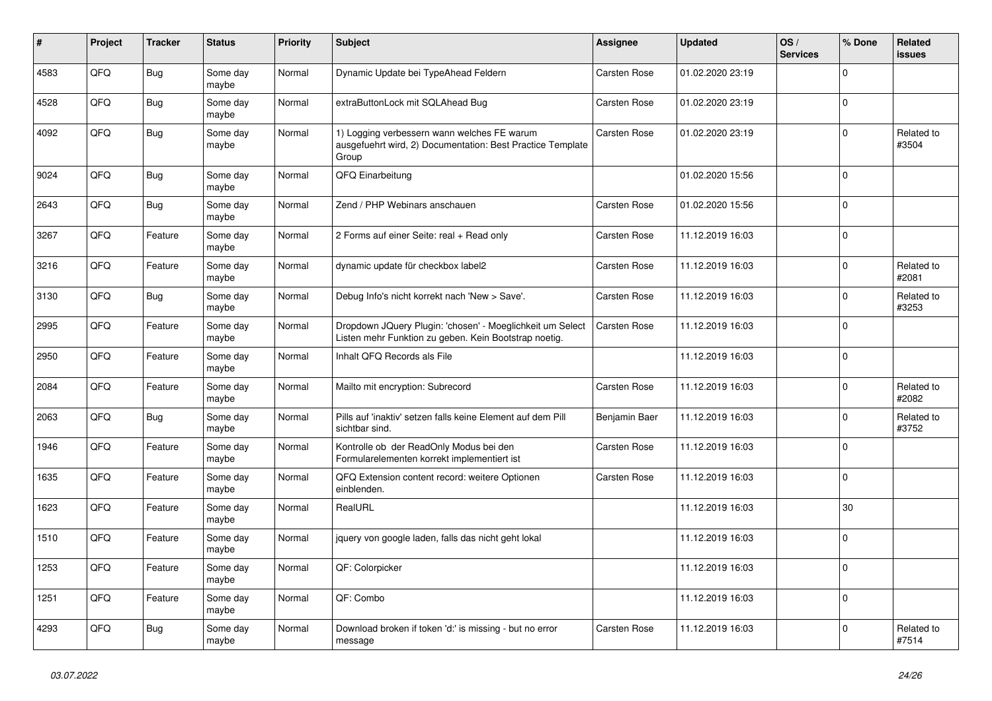| #    | Project | <b>Tracker</b> | <b>Status</b>     | <b>Priority</b> | <b>Subject</b>                                                                                                     | Assignee            | <b>Updated</b>   | OS/<br><b>Services</b> | % Done      | Related<br><b>issues</b> |
|------|---------|----------------|-------------------|-----------------|--------------------------------------------------------------------------------------------------------------------|---------------------|------------------|------------------------|-------------|--------------------------|
| 4583 | QFQ     | <b>Bug</b>     | Some day<br>maybe | Normal          | Dynamic Update bei TypeAhead Feldern                                                                               | Carsten Rose        | 01.02.2020 23:19 |                        | $\Omega$    |                          |
| 4528 | QFQ     | <b>Bug</b>     | Some day<br>maybe | Normal          | extraButtonLock mit SQLAhead Bug                                                                                   | <b>Carsten Rose</b> | 01.02.2020 23:19 |                        | 0           |                          |
| 4092 | QFQ     | <b>Bug</b>     | Some day<br>maybe | Normal          | 1) Logging verbessern wann welches FE warum<br>ausgefuehrt wird, 2) Documentation: Best Practice Template<br>Group | Carsten Rose        | 01.02.2020 23:19 |                        | $\Omega$    | Related to<br>#3504      |
| 9024 | QFQ     | <b>Bug</b>     | Some day<br>maybe | Normal          | QFQ Einarbeitung                                                                                                   |                     | 01.02.2020 15:56 |                        | $\Omega$    |                          |
| 2643 | QFQ     | <b>Bug</b>     | Some day<br>maybe | Normal          | Zend / PHP Webinars anschauen                                                                                      | Carsten Rose        | 01.02.2020 15:56 |                        | $\Omega$    |                          |
| 3267 | QFQ     | Feature        | Some day<br>maybe | Normal          | 2 Forms auf einer Seite: real + Read only                                                                          | Carsten Rose        | 11.12.2019 16:03 |                        | $\mathbf 0$ |                          |
| 3216 | QFQ     | Feature        | Some day<br>maybe | Normal          | dynamic update für checkbox label2                                                                                 | Carsten Rose        | 11.12.2019 16:03 |                        | $\mathbf 0$ | Related to<br>#2081      |
| 3130 | QFQ     | <b>Bug</b>     | Some day<br>maybe | Normal          | Debug Info's nicht korrekt nach 'New > Save'.                                                                      | <b>Carsten Rose</b> | 11.12.2019 16:03 |                        | $\Omega$    | Related to<br>#3253      |
| 2995 | QFQ     | Feature        | Some day<br>maybe | Normal          | Dropdown JQuery Plugin: 'chosen' - Moeglichkeit um Select<br>Listen mehr Funktion zu geben. Kein Bootstrap noetig. | Carsten Rose        | 11.12.2019 16:03 |                        | $\mathbf 0$ |                          |
| 2950 | QFQ     | Feature        | Some day<br>maybe | Normal          | Inhalt QFQ Records als File                                                                                        |                     | 11.12.2019 16:03 |                        | $\mathbf 0$ |                          |
| 2084 | QFQ     | Feature        | Some day<br>maybe | Normal          | Mailto mit encryption: Subrecord                                                                                   | <b>Carsten Rose</b> | 11.12.2019 16:03 |                        | $\Omega$    | Related to<br>#2082      |
| 2063 | QFQ     | <b>Bug</b>     | Some day<br>maybe | Normal          | Pills auf 'inaktiv' setzen falls keine Element auf dem Pill<br>sichtbar sind.                                      | Benjamin Baer       | 11.12.2019 16:03 |                        | $\mathbf 0$ | Related to<br>#3752      |
| 1946 | QFQ     | Feature        | Some day<br>maybe | Normal          | Kontrolle ob der ReadOnly Modus bei den<br>Formularelementen korrekt implementiert ist                             | <b>Carsten Rose</b> | 11.12.2019 16:03 |                        | $\mathbf 0$ |                          |
| 1635 | QFQ     | Feature        | Some day<br>maybe | Normal          | QFQ Extension content record: weitere Optionen<br>einblenden.                                                      | Carsten Rose        | 11.12.2019 16:03 |                        | 0           |                          |
| 1623 | QFQ     | Feature        | Some day<br>maybe | Normal          | RealURL                                                                                                            |                     | 11.12.2019 16:03 |                        | 30          |                          |
| 1510 | QFQ     | Feature        | Some day<br>maybe | Normal          | jquery von google laden, falls das nicht geht lokal                                                                |                     | 11.12.2019 16:03 |                        | 0           |                          |
| 1253 | QFQ     | Feature        | Some day<br>maybe | Normal          | QF: Colorpicker                                                                                                    |                     | 11.12.2019 16:03 |                        | $\Omega$    |                          |
| 1251 | QFQ     | Feature        | Some day<br>maybe | Normal          | QF: Combo                                                                                                          |                     | 11.12.2019 16:03 |                        | $\mathbf 0$ |                          |
| 4293 | QFQ     | <b>Bug</b>     | Some day<br>maybe | Normal          | Download broken if token 'd:' is missing - but no error<br>message                                                 | <b>Carsten Rose</b> | 11.12.2019 16:03 |                        | $\mathbf 0$ | Related to<br>#7514      |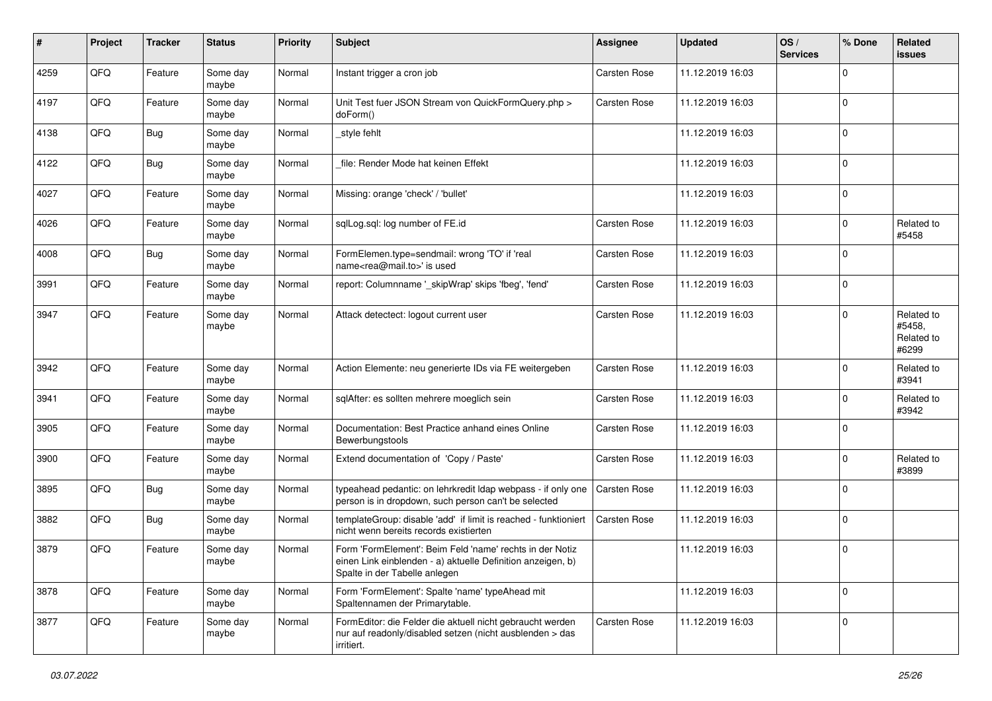| $\#$ | Project | <b>Tracker</b> | <b>Status</b>     | <b>Priority</b> | <b>Subject</b>                                                                                                                                           | Assignee            | <b>Updated</b>   | OS/<br><b>Services</b> | % Done      | Related<br><b>issues</b>                    |
|------|---------|----------------|-------------------|-----------------|----------------------------------------------------------------------------------------------------------------------------------------------------------|---------------------|------------------|------------------------|-------------|---------------------------------------------|
| 4259 | QFQ     | Feature        | Some day<br>maybe | Normal          | Instant trigger a cron job                                                                                                                               | Carsten Rose        | 11.12.2019 16:03 |                        | $\Omega$    |                                             |
| 4197 | QFQ     | Feature        | Some day<br>maybe | Normal          | Unit Test fuer JSON Stream von QuickFormQuery.php ><br>doForm()                                                                                          | Carsten Rose        | 11.12.2019 16:03 |                        | $\mathbf 0$ |                                             |
| 4138 | QFQ     | Bug            | Some day<br>maybe | Normal          | style fehlt                                                                                                                                              |                     | 11.12.2019 16:03 |                        | $\mathbf 0$ |                                             |
| 4122 | QFQ     | Bug            | Some day<br>maybe | Normal          | file: Render Mode hat keinen Effekt                                                                                                                      |                     | 11.12.2019 16:03 |                        | $\mathbf 0$ |                                             |
| 4027 | QFQ     | Feature        | Some day<br>maybe | Normal          | Missing: orange 'check' / 'bullet'                                                                                                                       |                     | 11.12.2019 16:03 |                        | $\mathbf 0$ |                                             |
| 4026 | QFQ     | Feature        | Some day<br>maybe | Normal          | sqlLog.sql: log number of FE.id                                                                                                                          | Carsten Rose        | 11.12.2019 16:03 |                        | $\mathbf 0$ | Related to<br>#5458                         |
| 4008 | QFQ     | <b>Bug</b>     | Some day<br>maybe | Normal          | FormElemen.type=sendmail: wrong 'TO' if 'real<br>name <rea@mail.to>' is used</rea@mail.to>                                                               | Carsten Rose        | 11.12.2019 16:03 |                        | $\mathbf 0$ |                                             |
| 3991 | QFQ     | Feature        | Some day<br>maybe | Normal          | report: Columnname '_skipWrap' skips 'fbeg', 'fend'                                                                                                      | Carsten Rose        | 11.12.2019 16:03 |                        | $\mathbf 0$ |                                             |
| 3947 | QFQ     | Feature        | Some day<br>maybe | Normal          | Attack detectect: logout current user                                                                                                                    | <b>Carsten Rose</b> | 11.12.2019 16:03 |                        | $\Omega$    | Related to<br>#5458.<br>Related to<br>#6299 |
| 3942 | QFQ     | Feature        | Some day<br>maybe | Normal          | Action Elemente: neu generierte IDs via FE weitergeben                                                                                                   | Carsten Rose        | 11.12.2019 16:03 |                        | $\mathbf 0$ | Related to<br>#3941                         |
| 3941 | QFQ     | Feature        | Some day<br>maybe | Normal          | sqlAfter: es sollten mehrere moeglich sein                                                                                                               | Carsten Rose        | 11.12.2019 16:03 |                        | $\mathbf 0$ | Related to<br>#3942                         |
| 3905 | QFQ     | Feature        | Some day<br>maybe | Normal          | Documentation: Best Practice anhand eines Online<br>Bewerbungstools                                                                                      | Carsten Rose        | 11.12.2019 16:03 |                        | $\mathbf 0$ |                                             |
| 3900 | QFQ     | Feature        | Some day<br>maybe | Normal          | Extend documentation of 'Copy / Paste'                                                                                                                   | Carsten Rose        | 11.12.2019 16:03 |                        | $\mathbf 0$ | Related to<br>#3899                         |
| 3895 | QFQ     | <b>Bug</b>     | Some day<br>maybe | Normal          | typeahead pedantic: on lehrkredit Idap webpass - if only one<br>person is in dropdown, such person can't be selected                                     | <b>Carsten Rose</b> | 11.12.2019 16:03 |                        | $\Omega$    |                                             |
| 3882 | QFQ     | Bug            | Some day<br>maybe | Normal          | templateGroup: disable 'add' if limit is reached - funktioniert<br>nicht wenn bereits records existierten                                                | <b>Carsten Rose</b> | 11.12.2019 16:03 |                        | $\mathbf 0$ |                                             |
| 3879 | QFQ     | Feature        | Some day<br>maybe | Normal          | Form 'FormElement': Beim Feld 'name' rechts in der Notiz<br>einen Link einblenden - a) aktuelle Definition anzeigen, b)<br>Spalte in der Tabelle anlegen |                     | 11.12.2019 16:03 |                        | $\mathbf 0$ |                                             |
| 3878 | QFQ     | Feature        | Some day<br>maybe | Normal          | Form 'FormElement': Spalte 'name' typeAhead mit<br>Spaltennamen der Primarytable.                                                                        |                     | 11.12.2019 16:03 |                        | $\mathbf 0$ |                                             |
| 3877 | QFQ     | Feature        | Some day<br>maybe | Normal          | FormEditor: die Felder die aktuell nicht gebraucht werden<br>nur auf readonly/disabled setzen (nicht ausblenden > das<br>irritiert.                      | Carsten Rose        | 11.12.2019 16:03 |                        | $\mathbf 0$ |                                             |